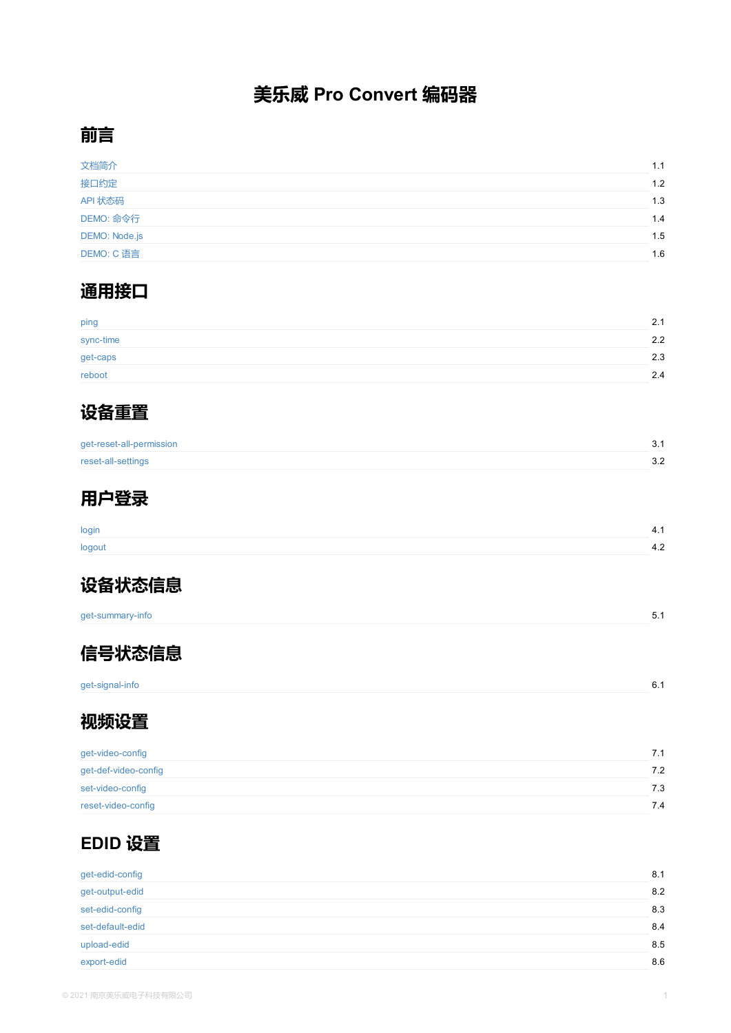get-caps

reboot



get-reset-all-permission

reset-all-settings



[login](#page-3-0)

[logout](#page-4-0)



get-summary-info



[get-signal-](#page-9-0)info

## **[视频](#page-11-0)设置**

| get-video-config     |  |  |
|----------------------|--|--|
| get-def-video-config |  |  |
| set-video-config     |  |  |
| reset-video-config   |  |  |

## **EDID 设置**

| get-edid-config  |  |  |
|------------------|--|--|
| get-output-edid  |  |  |
| set-edid-config  |  |  |
| set-default-edid |  |  |
| upload-edid      |  |  |
| export-edid      |  |  |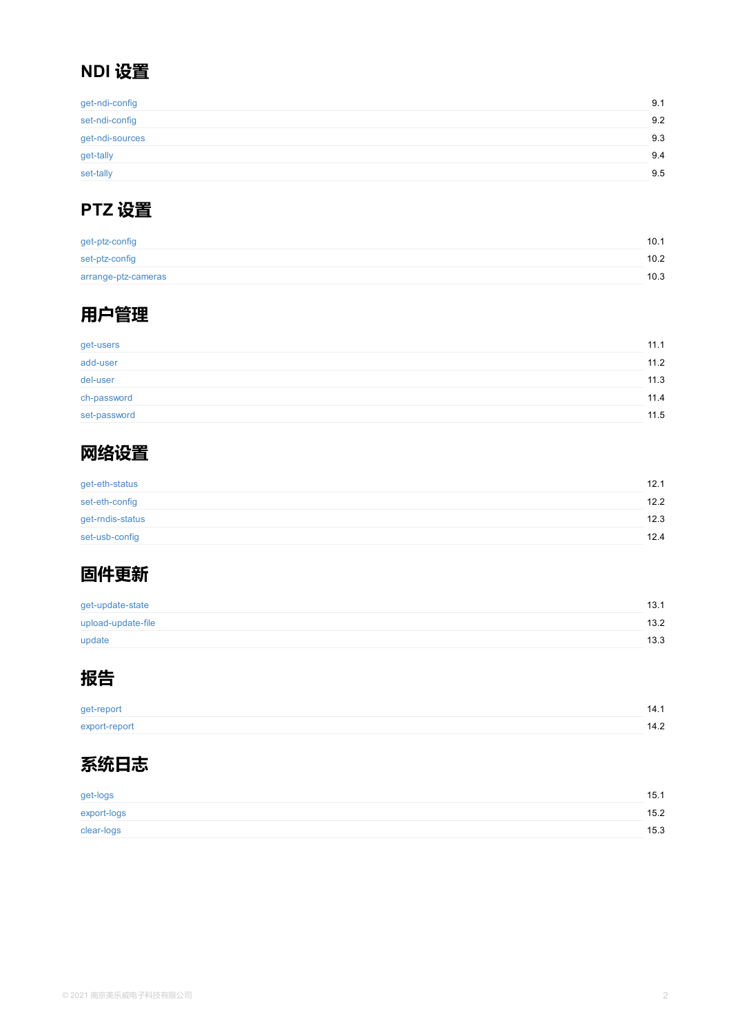| got-usors    |  |  |
|--------------|--|--|
| add-user     |  |  |
| del-user     |  |  |
| ch-password  |  |  |
| set-password |  |  |



[get-eth-status](#page-41-0) [set-eth-c](#page-42-0)onfig [get-rndis](#page-43-0)-status set-usb-config



[get-update-sta](#page-45-0)te [upload-update-file](#page-46-0)

update



[get-report](#page-48-0) [export-rep](#page-49-0)ort



get-logs export-logs [clear-logs](#page-52-0)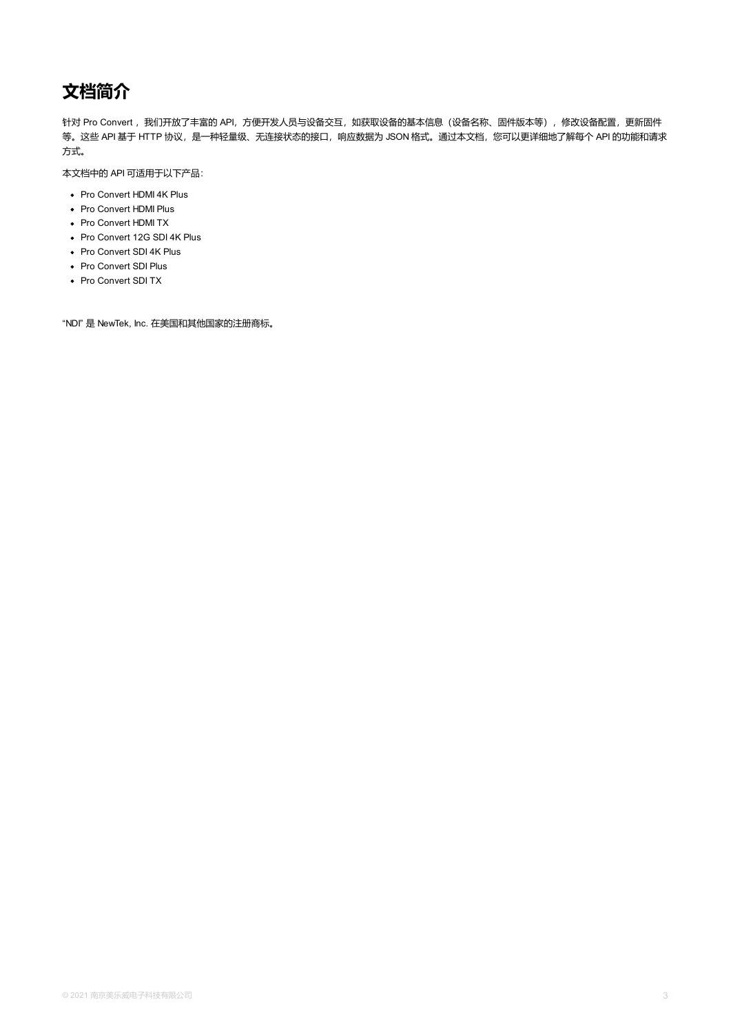# <span id="page-2-0"></span>**文档简介**

针对 Pro Convert, 我们开放了丰富的 API, 方便开发人员与设备交互, 如获取设备的基本信息(设备名称、固件版本等), 修改设备配置, 更新固件 等。这些 API 基于 HTTP 协议, 是一种轻量级、无连接状态的接口, 响应数据为 JSON 格式。通过本文档, 您可以更详细地了解每个 API 的功能和请求 方式。

本文档中的 API 可适用于以下产品:

- Pro Convert HDMI 4K Plus
- Pro Convert HDMI Plus
- Pro Convert HDMI TX
- Pro Convert 12G SDI 4K Plus
- Pro Convert SDI 4K Plus
- Pro Convert SDI Plus
- Pro Convert SDI TX

"NDI" 是 NewTek, Inc. 在美国和其他国家的注册商标。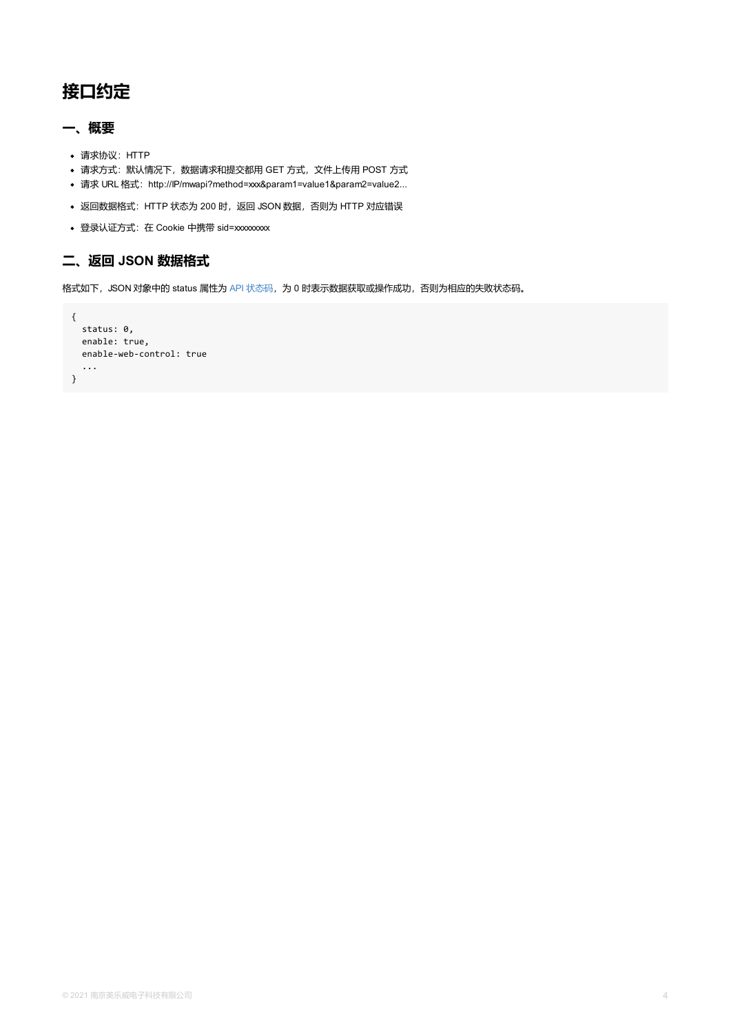```
enable: true,
 enable-web-control: true
 ...
}
```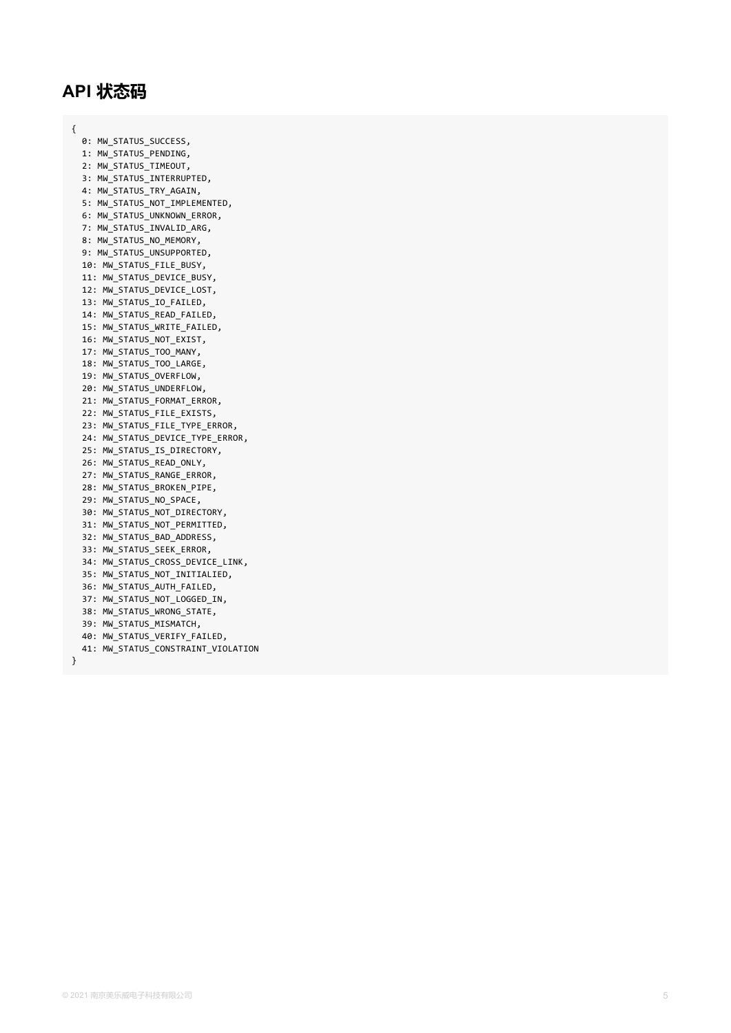# <span id="page-4-0"></span>**A P I 状 态 码**

{

}

0: MW\_STATUS\_SUCCESS**,** 1: MW\_STATUS\_PENDING, 2: MW\_STATUS\_TIMEOUT**,** 3: MW\_STATUS\_INTERRUPTED**,** 4: MW\_STATUS\_TRY\_AGAIN**,** 5: MW\_STATUS\_NOT\_IMPLEMENTED, 6: MW\_STATUS\_UNKNOWN\_ERROR**,** 7: MW\_STATUS\_INVALID\_ARG**,** 8: MW\_STATUS\_NO\_MEMORY**,** 9: MW\_STATUS\_UNSUPPORTED**,** 10: MW\_STATUS\_FILE\_BUSY, 11: MW\_STATUS\_DEVICE\_BUSY, 12: MW\_STATUS\_DEVICE\_LOST, 13: MW\_STATUS\_IO\_FAILED**,** 14: MW\_STATUS\_READ\_FAILED**,** 15: MW\_STATUS\_WRITE\_FAILED, 16: MW\_STATUS\_NOT\_EXIST, 17: MW\_STATUS\_TOO\_MANY**,** 18: MW\_STATUS\_TOO\_LARGE, 19: MW\_STATUS\_OVERFLOW**,** 20: MW\_STATUS\_UNDERFLOW, 21: MW\_STATUS\_FORMAT\_ERROR**,** 22: MW\_STATUS\_FILE\_EXISTS**,** 23: MW\_STATUS\_FILE\_TYPE\_ERROR**,** 24: MW\_STATUS\_DEVICE\_TYPE\_ERROR, 25: MW\_STATUS\_IS\_DIRECTORY, 26: MW\_STATUS\_READ\_ONLY**,** 27: MW\_STATUS\_RANGE\_ERROR**,** 28: MW\_STATUS\_BROKEN\_PIPE, 29: MW\_STATUS\_NO\_SPACE**,** 30: MW\_STATUS\_NOT\_DIRECTORY, 31: MW\_STATUS\_NOT\_PERMITTED, 32: MW\_STATUS\_BAD\_ADDRESS, 33: MW\_STATUS\_SEEK\_ERROR**,** 34: MW\_STATUS\_CROSS\_DEVICE\_LINK, 35: MW\_STATUS\_NOT\_INITIALIED, 36: MW\_STATUS\_AUTH\_FAILED, 37: MW\_STATUS\_NOT\_LOGGED\_IN**,** 38: MW\_STATUS\_WRONG\_STATE, 39: MW\_STATUS\_MISMATCH, 40: MW\_STATUS\_VERIFY\_FAILED, 41: MW\_STATUS\_CONSTRAINT\_VIOLATION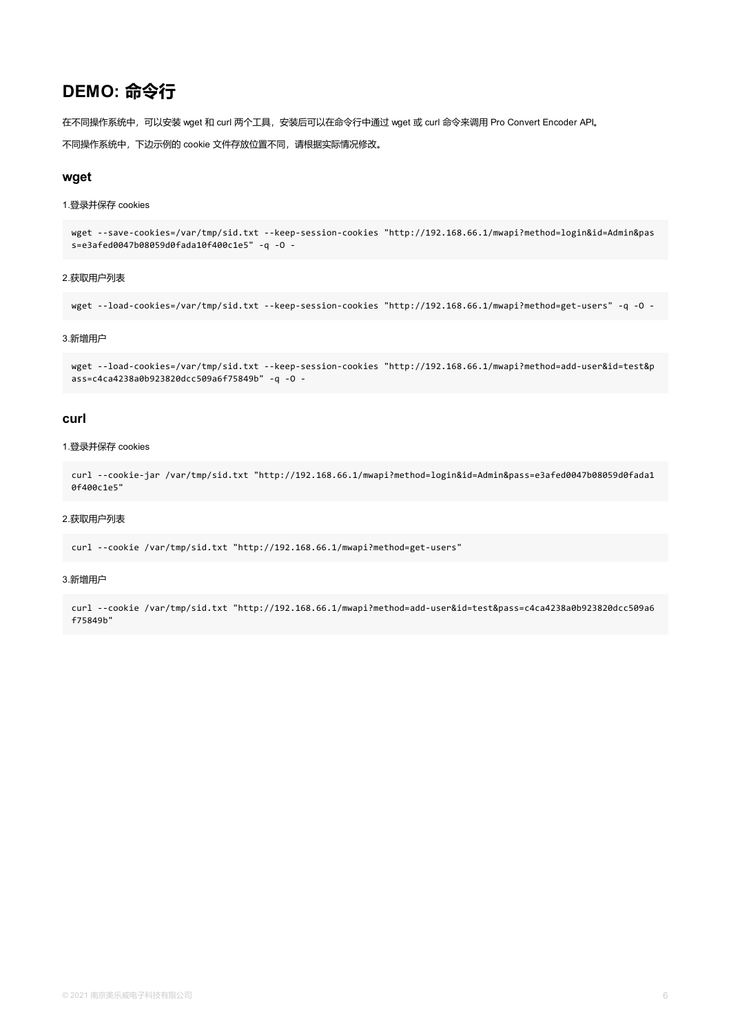## **DEMO: 命令行**

在不同操作系统中,可以安装 wget 和 curl 两个工具, 安装后可以在命令行中通过 wget 或 curl 命令来调用 Pro Convert Encoder API。

不同操作系统中,下边示例的 cookie 文件存放位置不同,请根据实际情况修改。

#### **wget**

#### 1.登录并保存 cookies

wget --save-cookies=/var/tmp/sid.txt --keep-session-cookies "http://192.168.66.1/mwapi?method=login&id=Admin&pas s=e3afed0047b08059d0fada10f400c1e5" -q -O -

#### 2.获取用户列表

wget --load-cookies=/var/tmp/sid.txt --keep-session-cookies "http://192.168.66.1/mwapi?method=get-users" -q -O -

#### 3.新增用户

wget --load-cookies=/var/tmp/sid.txt --keep-session-cookies "http://192.168.66.1/mwapi?method=add-user&id=test&p ass=c4ca4238a0b923820dcc509a6f75849b" -q -O -

#### **curl**

#### 1.登录并保存 cookies

```
curl --cookie-jar /var/tmp/sid.txt "http://192.168.66.1/mwapi?method=login&id=Admin&pass=e3afed0047b08059d0fada1
0f400c1e5"
```
#### 2.获取用户列表

curl --cookie /var/tmp/sid.txt "http://192.168.66.1/mwapi?method=get-users"

#### 3.新增用户

curl --cookie /var/tmp/sid.txt "http://192.168.66.1/mwapi?method=add-user&id=test&pass=c4ca4238a0b923820dcc509a6 f75849b"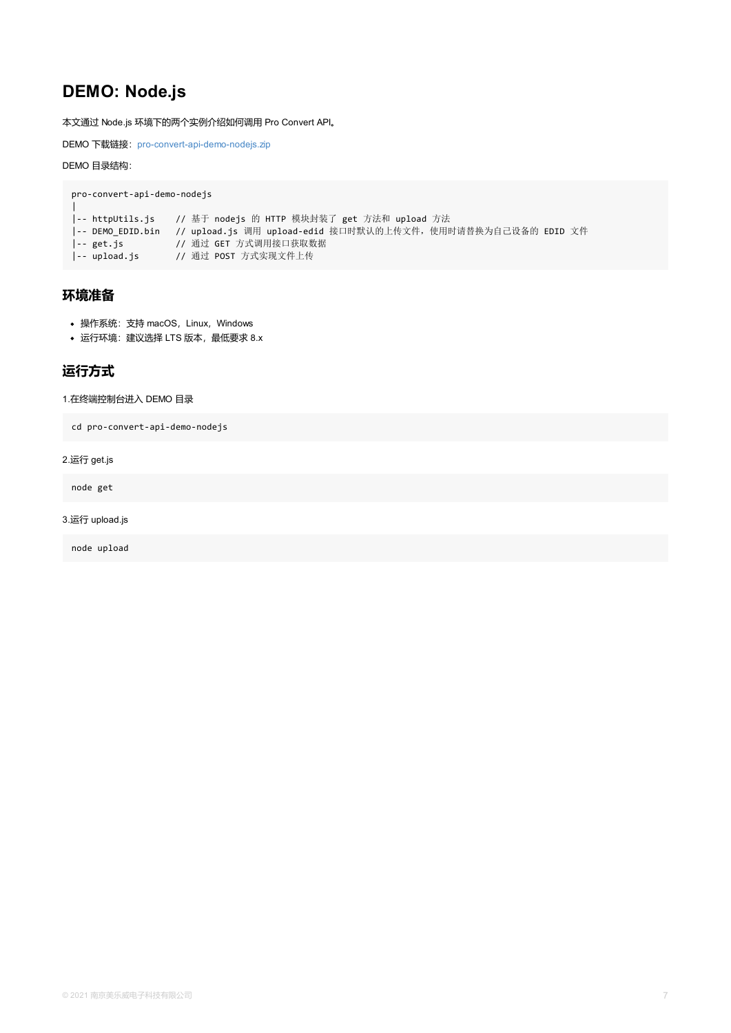## <span id="page-6-0"></span>**运行方式**

#### 1.在终端控制台进入 DEMO 目录

cd pro-convert-api-demo-nodejs

2.运行 get.js

node get

3.运行 upload.js

node upload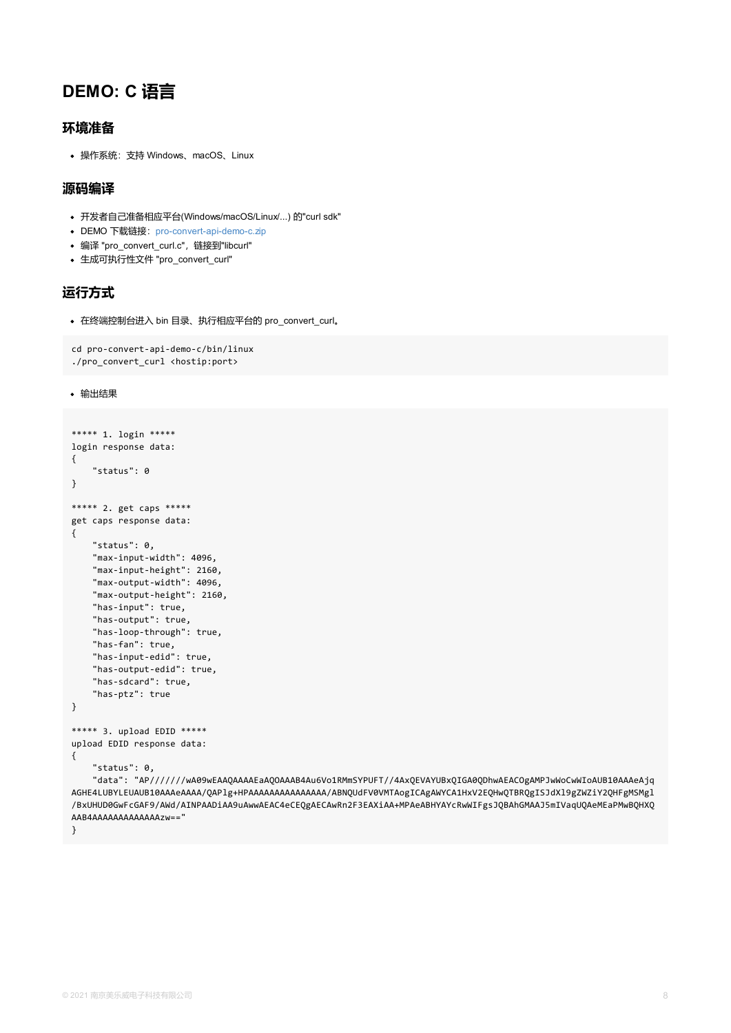```
cd pro-convert-api-demo-c/bin/linux
./pro_convert_curl <hostip:port>
```
输出结果

```
***** 1. login *****
login response data:
{
    "status": 0
}
***** 2. get caps *****
get caps response data:
{
    "status": 0,
    "max-input-width": 4096,
    "max-input-height": 2160,
    "max-output-width": 4096,
    "max-output-height": 2160,
    "has-input": true,
    "has-output": true,
    "has-loop-through": true,
    "has-fan": true,
    "has-input-edid": true,
    "has-output-edid": true,
    "has-sdcard": true,
    "has-ptz": true
}
***** 3. upload EDID *****
upload EDID response data:
{
    "status": 0,
    "data": "AP///////wA09wEAAQAAAAEaAQOAAAB4Au6Vo1RMmSYPUFT//4AxQEVAYUBxQIGA0QDhwAEACOg
AGHE4LUBYLEUAUB10AAAeAAAA/QAPlg+HPAAAAAAAAAAAAAAAA/ABNQUdFV0VMTAogICAgAWYCA1HxV2EQHwQTBRQ
/BxUHUD0GwFcGAF9/AWd/AINPAADiAA9uAwwAEAC4eCEQgAECAwRn2F3EAXiAA+MPAeABHYAYcRwWIFgsJQBAhGM
AAB4AAAAAAAAAAAAAzw=="
}
```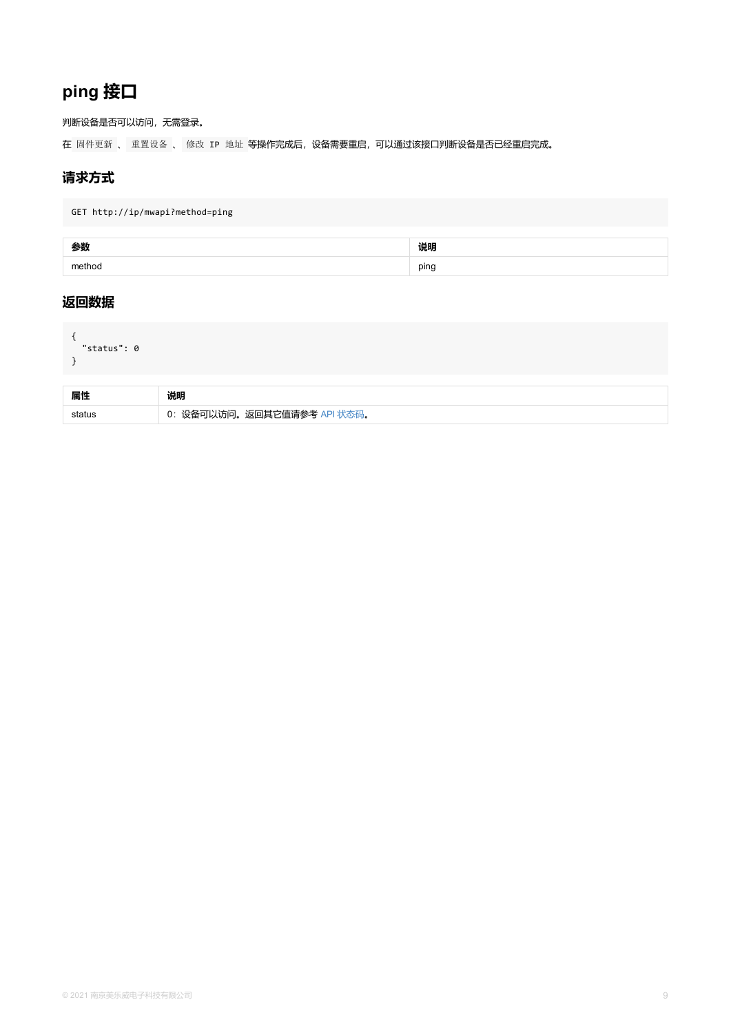```
"status": 0
}
```

| 属性 | 说明                             |
|----|--------------------------------|
|    | 设备可以访问。返回其它值请参考 API 状态码。<br>0: |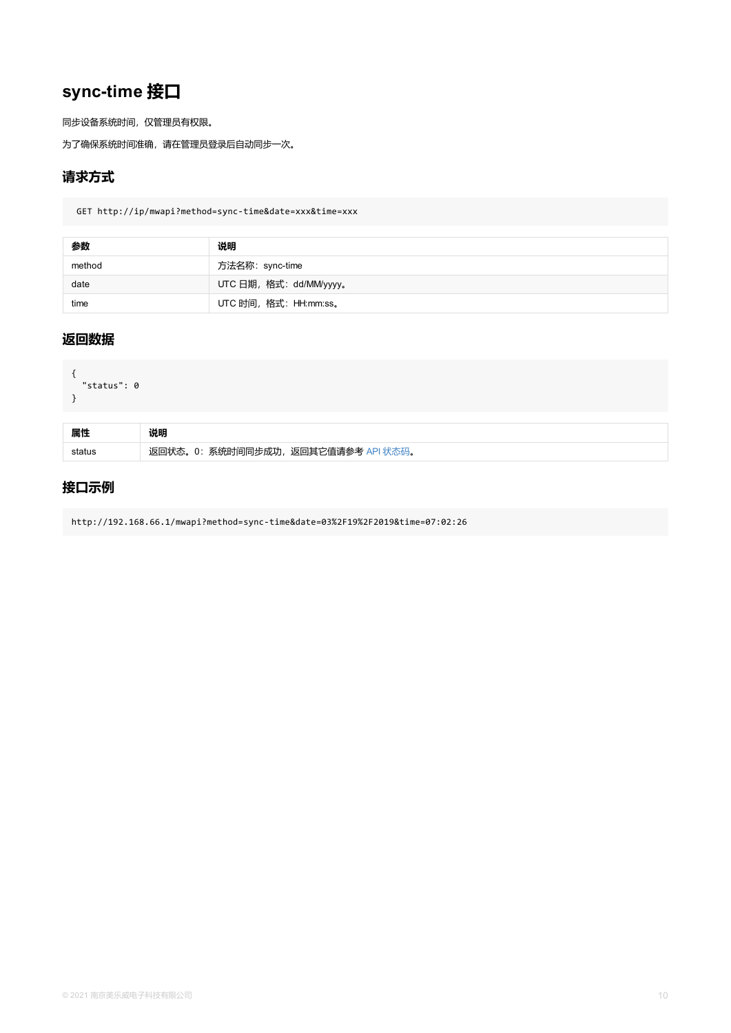```
{
  "status": 0
}
```

| 属性 | 说明                                      |
|----|-----------------------------------------|
|    | 返回状态。0: 系统时间同步成功,<br>,返回其它值请参考 API 状态码。 |

## **接口示例**

http://192.168.66.1/mwapi?method=sync-time&date=03%2F19%2F2019&time=07:02:26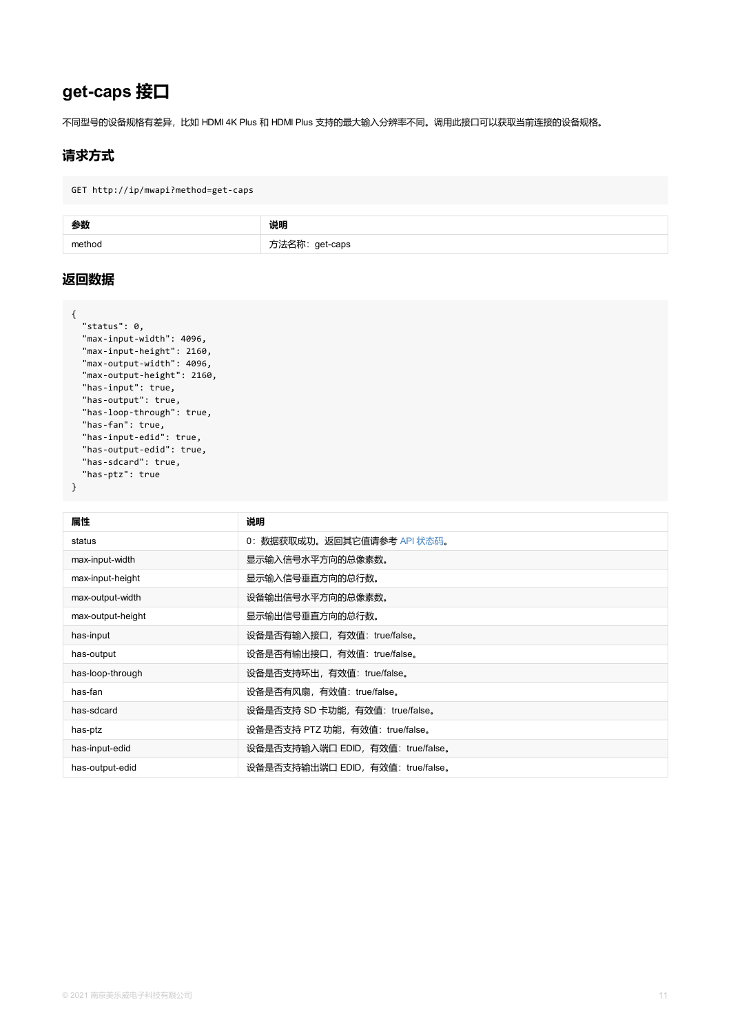```
"max-input-height": 2160,
  "max-output-width": 4096,
  "max-output-height": 2160,
  "has-input": true,
  "has-output": true,
  "has-loop-through": true,
  "has-fan": true,
  "has-input-edid": true,
  "has-output-edid": true,
  "has-sdcard": true,
  "has-ptz": true
}
```

| 属性                | 说明                                |
|-------------------|-----------------------------------|
| status            | 0: 数据获取成功。返回其它值请参考 API 状态码。       |
| max-input-width   | 显示输入信号水平方向的总像素数。                  |
| max-input-height  | 显示输入信号垂直方向的总行数。                   |
| max-output-width  | 设备输出信号水平方向的总像素数。                  |
| max-output-height | 显示输出信号垂直方向的总行数。                   |
| has-input         | 设备是否有输入接口,有效值: true/false。        |
| has-output        | 设备是否有输出接口,有效值: true/false。        |
| has-loop-through  | 设备是否支持环出, 有效值: true/false。        |
| has-fan           | 设备是否有风扇,有效值: true/false。          |
| has-sdcard        | 设备是否支持 SD 卡功能, 有效值: true/false。   |
| has-ptz           | 设备是否支持 PTZ 功能,有效值: true/false。    |
| has-input-edid    | 设备是否支持输入端口 EDID, 有效值: true/false。 |
| has-output-edid   | 设备是否支持输出端口 EDID, 有效值: true/false。 |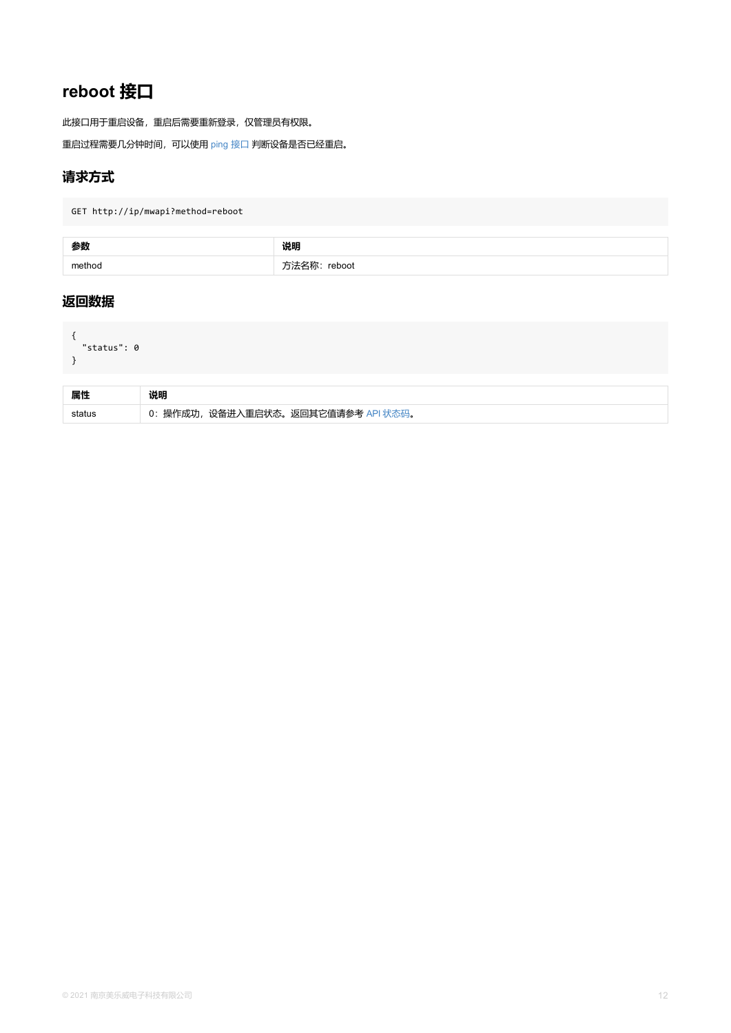```
"status": 0
}
```

| 属性 | 说明                                  |
|----|-------------------------------------|
|    | 0: 操作成功, 设备进入重启状态。返回其它值请参考 API 状态码。 |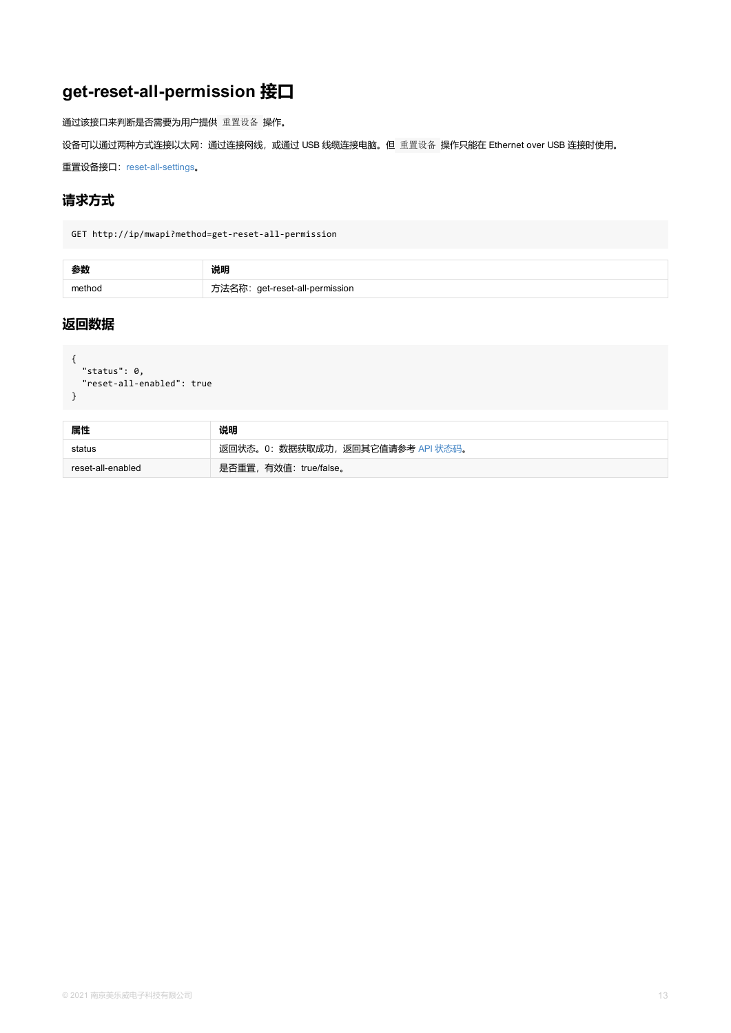```
{
"status": 0,
"reset-all-enabled": true
}
```

| 属性                | 说明                                |
|-------------------|-----------------------------------|
| status            | 返回状态。0: 数据获取成功, 返回其它值请参考 API 状态码。 |
| reset-all-enabled | 是否重置,有效值: true/false。             |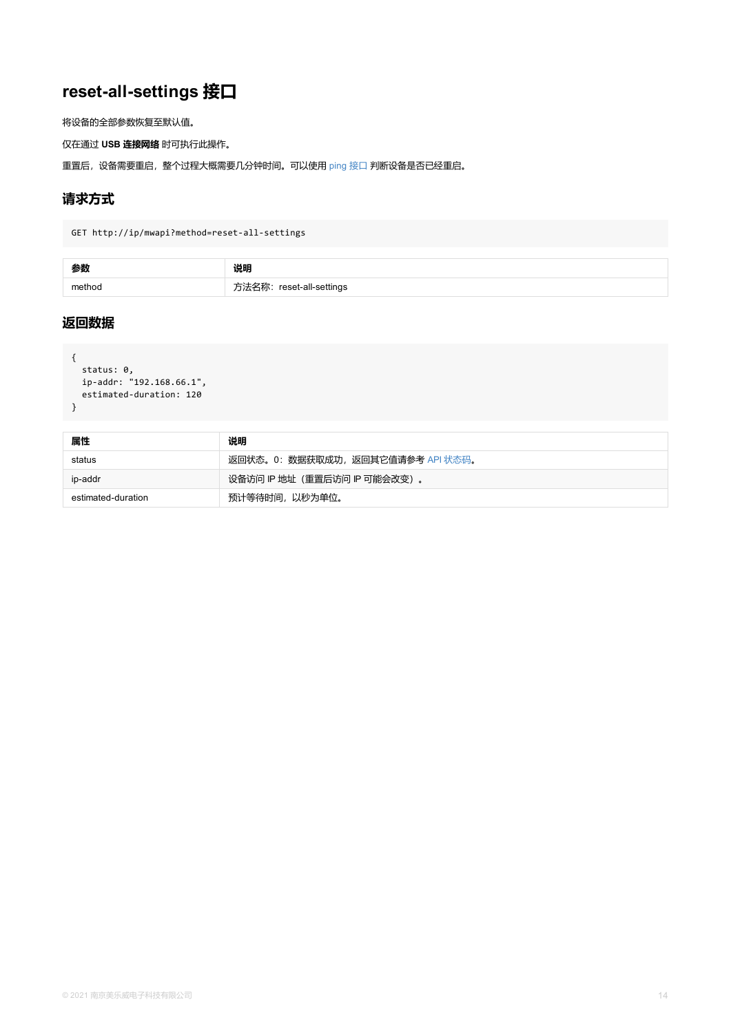```
{
status: 0,
 ip-addr: "192.168.66.1",
 estimated-duration: 120
}
```

| 属性                 | 说明                              |
|--------------------|---------------------------------|
| status             | 返回状态。0:数据获取成功,返回其它值请参考 API 状态码。 |
| ip-addr            | 设备访问 IP 地址 (重置后访问 IP 可能会改变) 。   |
| estimated-duration | 预计等待时间, 以秒为单位。                  |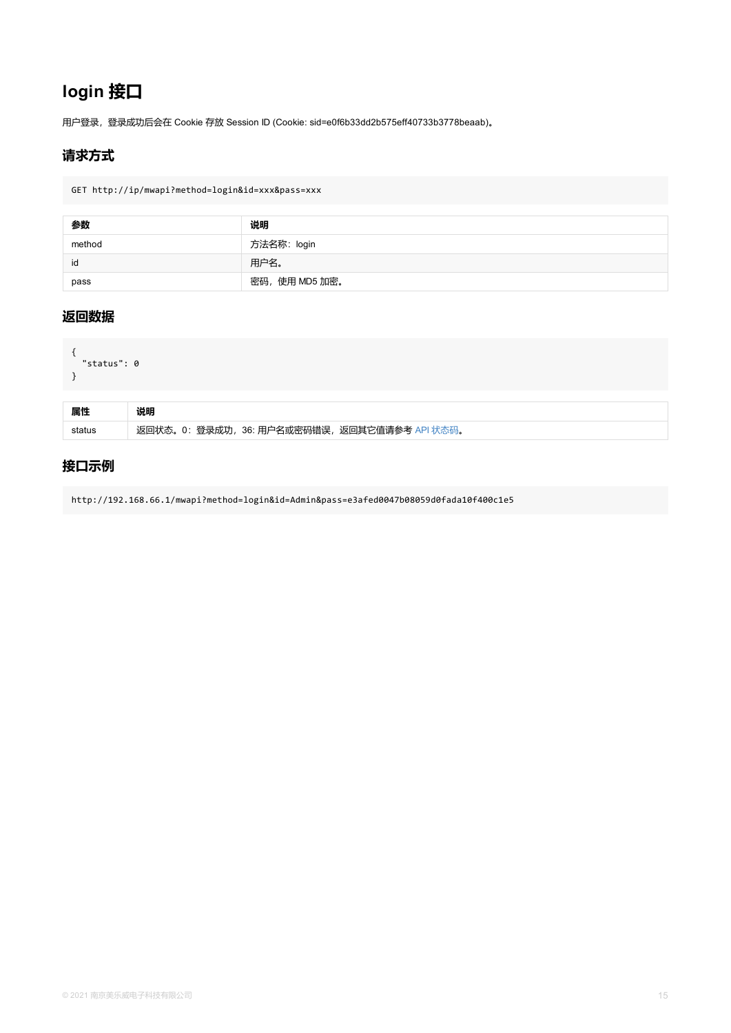```
{
  "status": 0
}
```

| 属性 | 说明                                            |
|----|-----------------------------------------------|
|    | 返回状态。0: 登录成功, 36: 用户名或密码错误, 返回其它值请参考 API 状态码。 |

## **接口示例**

http://192.168.66.1/mwapi?method=login&id=Admin&pass=e3afed0047b08059d0fada10f400c1e5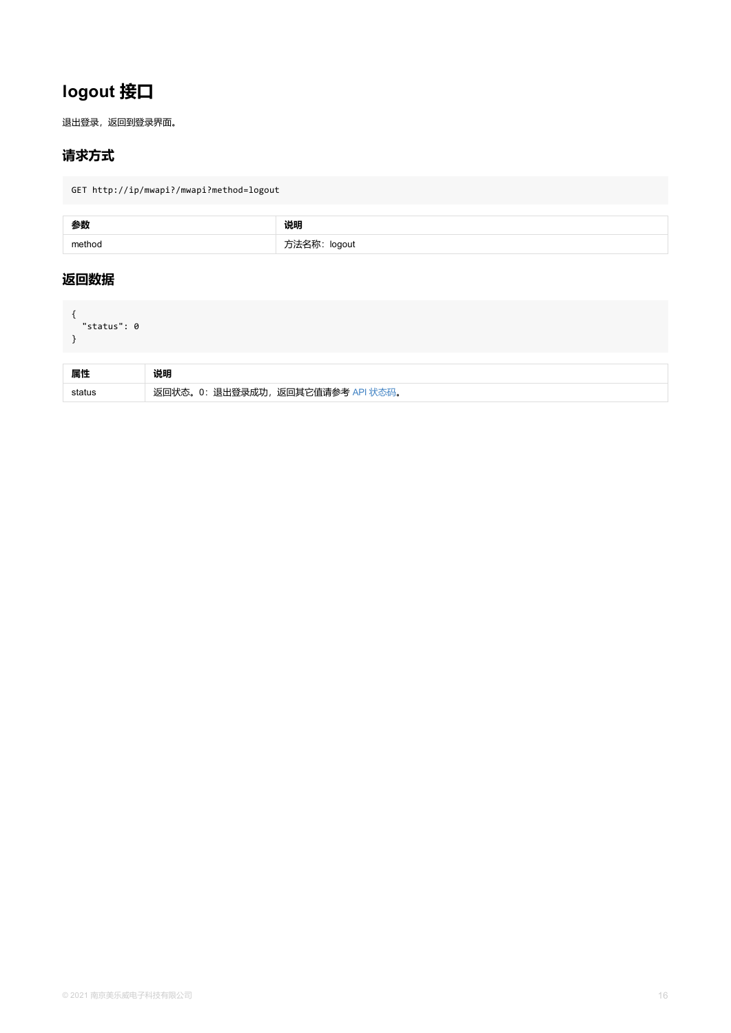<span id="page-15-0"></span>

| 属性 |                                   |
|----|-----------------------------------|
|    | 返回状态。0: 退出登录成功, 返回其它值请参考 API 状态码。 |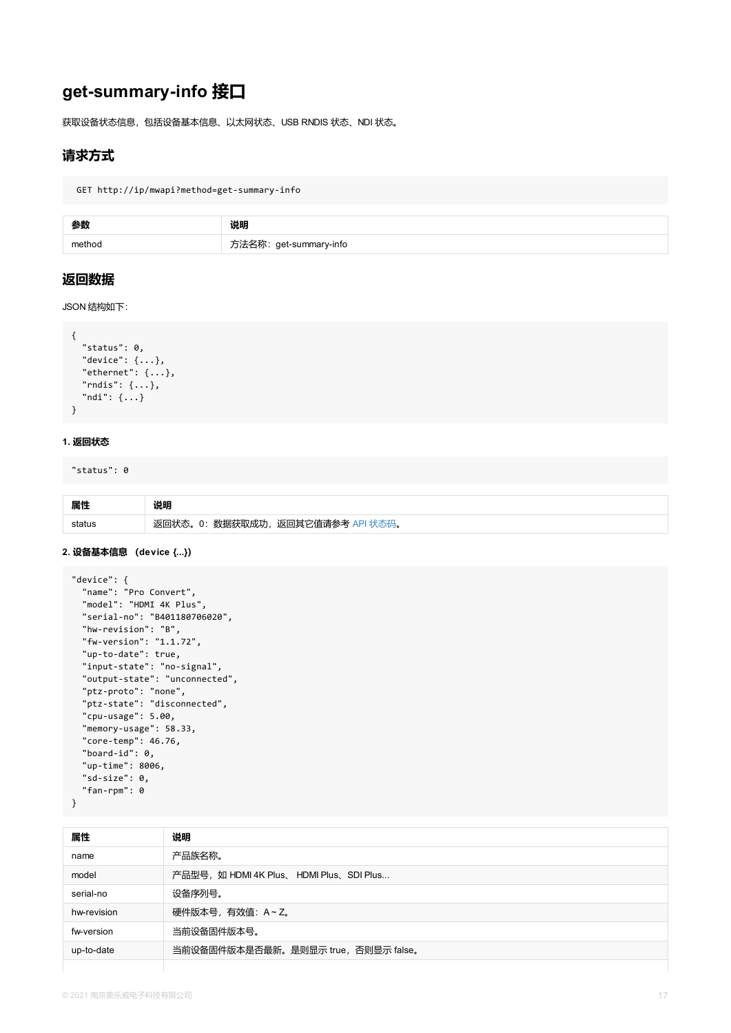```
"status": 0,
  "device": {...},
  "ethernet": {...},
  "rndis": {...},
  "ndi": {...}
}
```
#### **1. 返回状态**

"status": 0

| 属性 |                                     |
|----|-------------------------------------|
|    | 数据获取成功,返回其它值请参考 API 状态码。<br>返回状态。0: |

#### **2. 设备基本信息 (device {...})**

```
"device": {
  "name": "Pro Convert",
  "model": "HDMI 4K Plus",
  "serial-no": "B401180706020",
  "hw-revision": "B",
  "fw-version": "1.1.72",
  "up-to-date": true,
  "input-state": "no-signal",
  "output-state": "unconnected",
  "ptz-proto": "none",
  "ptz-state": "disconnected",
  "cpu-usage": 5.00,
  "memory-usage": 58.33,
  "core-temp": 46.76,
  "board-id": 0,
  "up-time": 8006,
  "sd-size": 0,
  "fan-rpm": 0
}
```

| 属性          | 说明                                        |
|-------------|-------------------------------------------|
| name        | 产品族名称。                                    |
| model       | 产品型号, 如 HDMI 4K Plus、 HDMI Plus、 SDI Plus |
| serial-no   | 设备序列号。                                    |
| hw-revision | 硬件版本号,有效值: A~Z。                           |
| fw-version  | 当前设备固件版本号。                                |
| up-to-date  | 当前设备固件版本是否最新。是则显示 true, 否则显示 false。       |
|             |                                           |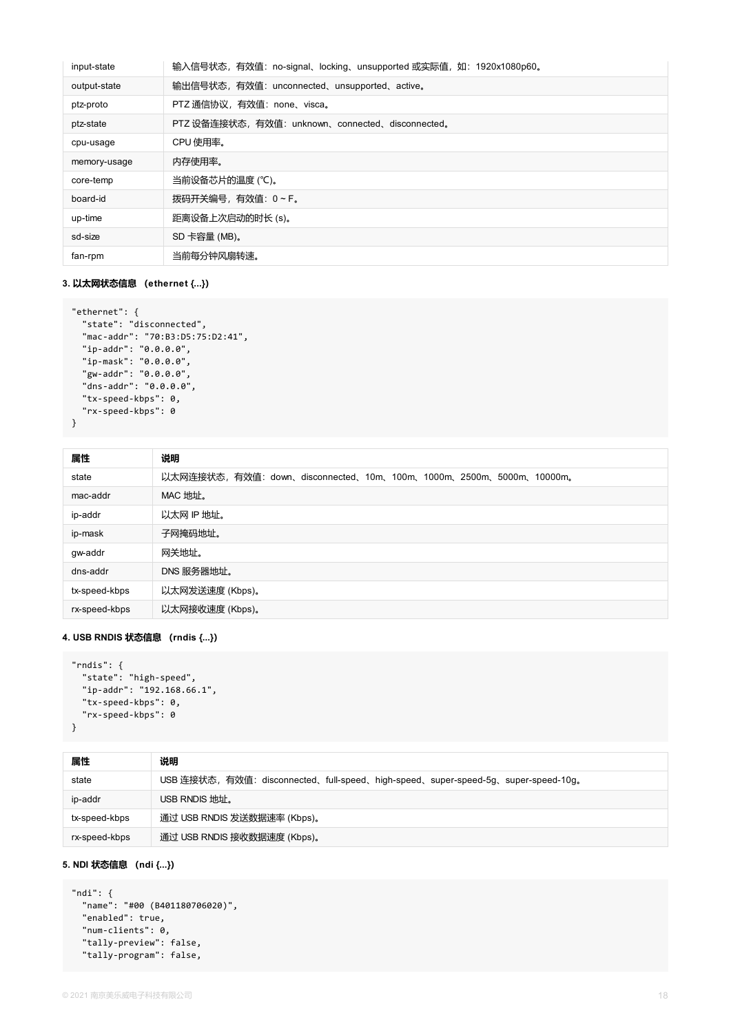| input-state  | 输入信号状态, 有效值: no-signal、locking、unsupported 或实际值, 如: 1920x1080p60。 |
|--------------|-------------------------------------------------------------------|
| output-state | 输出信号状态,有效值: unconnected、unsupported、active。                       |
| ptz-proto    | PTZ 通信协议, 有效值: none、visca。                                        |
| ptz-state    | PTZ 设备连接状态, 有效值: unknown、connected、disconnected。                  |
| cpu-usage    | CPU 使用率。                                                          |
| memory-usage | 内存使用率。                                                            |
| core-temp    | 当前设备芯片的温度 (℃)。                                                    |
| board-id     | 拨码开关编号, 有效值: 0~F。                                                 |
| up-time      | 距离设备上次启动的时长 (s)。                                                  |
| sd-size      | SD 卡容量 (MB)。                                                      |
| fan-rpm      | 当前每分钟风扇转速。                                                        |
|              |                                                                   |

#### **3. 以太网状态信息 (ethernet {...})**

```
"ethernet": {
 "state": "disconnected",
  "mac-addr": "70:B3:D5:75:D2:41",
  "ip-addr": "0.0.0.0",
 "ip-mask": "0.0.0.0",
  "gw-addr": "0.0.0.0",
  "dns-addr": "0.0.0.0",
  "tx-speed-kbps": 0,
  "rx-speed-kbps": 0
}
```

| 属性            | 说明                                                               |
|---------------|------------------------------------------------------------------|
| state         | 以太网连接状态,有效值:down、disconnected、10m、100m、1000m、2500m、5000m、10000m。 |
| mac-addr      | MAC 地址。                                                          |
| ip-addr       | 以太网 IP 地址。                                                       |
| ip-mask       | 子网掩码地址。                                                          |
| gw-addr       | 网关地址。                                                            |
| dns-addr      | DNS 服务器地址。                                                       |
| tx-speed-kbps | 以太网发送速度(Kbps)。                                                   |
| rx-speed-kbps | 以太网接收速度(Kbps)。                                                   |

#### **4. USB RNDIS 状态信息 (rndis {...})**

```
"rndis": {
 "state": "high-speed",
 "ip-addr": "192.168.66.1",
  "tx-speed-kbps": 0,
 "rx-speed-kbps": 0
}
```

| 属性            | 说明                                                                               |
|---------------|----------------------------------------------------------------------------------|
| state         | USB 连接状态,有效值: disconnected、full-speed、high-speed、super-speed-5g、super-speed-10g。 |
| ip-addr       | USB RNDIS 地址。                                                                    |
| tx-speed-kbps | 通过 USB RNDIS 发送数据速率 (Kbps)。                                                      |
| rx-speed-kbps | 通过 USB RNDIS 接收数据速度 (Kbps)。                                                      |

#### **5. NDI 状态信息 (ndi {...})**

```
"ndi": {
 "name": "#00 (B401180706020)",
 "enabled": true,
 "num-clients": 0,
 "tally-preview": false,
 "tally-program": false,
```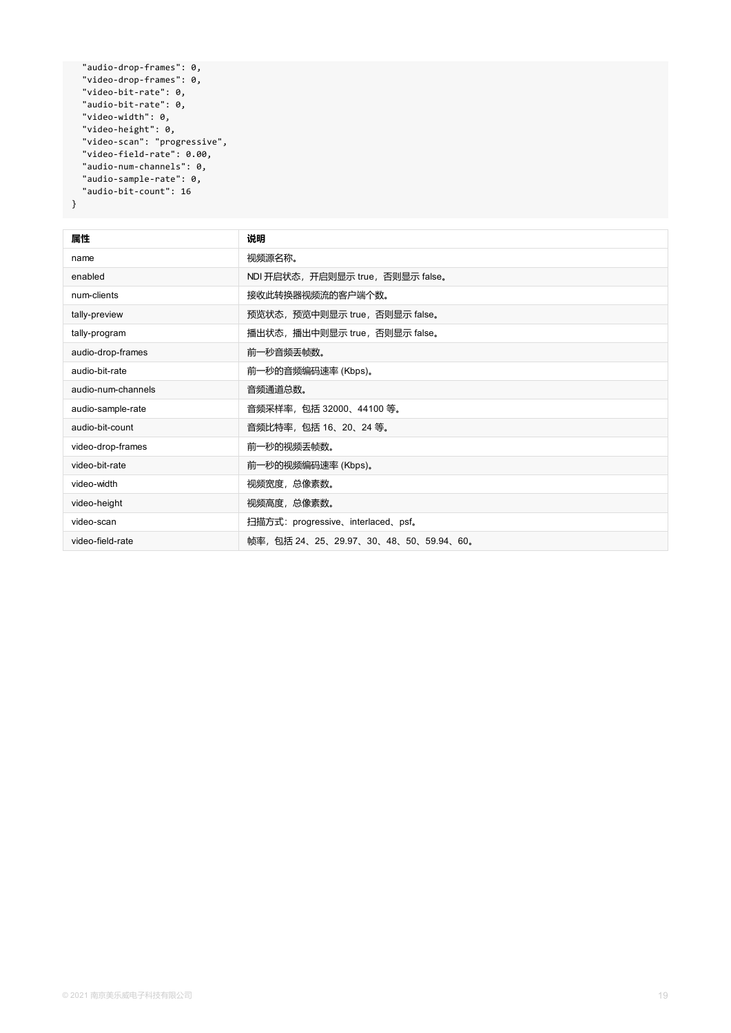```
"audio-drop-frames": 0,
 "video-drop-frames": 0,
 "video-bit-rate": 0,
 "audio-bit-rate": 0,
 "video-width": 0,
  "video-height": 0,
 "video-scan": "progressive",
 "video-field-rate": 0.00,
 "audio-num-channels": 0,
 "audio-sample-rate": 0,
 "audio-bit-count": 16
}
```

| 属性                 | 说明                                   |
|--------------------|--------------------------------------|
| name               | 视频源名称。                               |
| enabled            | NDI 开启状态,开启则显示 true,否则显示 false。      |
| num-clients        | 接收此转换器视频流的客户端个数。                     |
| tally-preview      | 预览状态, 预览中则显示 true, 否则显示 false。       |
| tally-program      | 播出状态, 播出中则显示 true, 否则显示 false。       |
| audio-drop-frames  | 前一秒音频丢帧数。                            |
| audio-bit-rate     | 前一秒的音频编码速率 (Kbps)。                   |
| audio-num-channels | 音频通道总数。                              |
| audio-sample-rate  | 音频采样率, 包括 32000、44100 等。             |
| audio-bit-count    | 音频比特率, 包括 16、20、24 等。                |
| video-drop-frames  | 前一秒的视频丢帧数。                           |
| video-bit-rate     | 前一秒的视频编码速率 (Kbps)。                   |
| video-width        | 视频宽度,总像素数。                           |
| video-height       | 视频高度, 总像素数。                          |
| video-scan         | 扫描方式: progressive、interlaced、psf。    |
| video-field-rate   | 帧率,包括 24、25、29.97、30、48、50、59.94、60。 |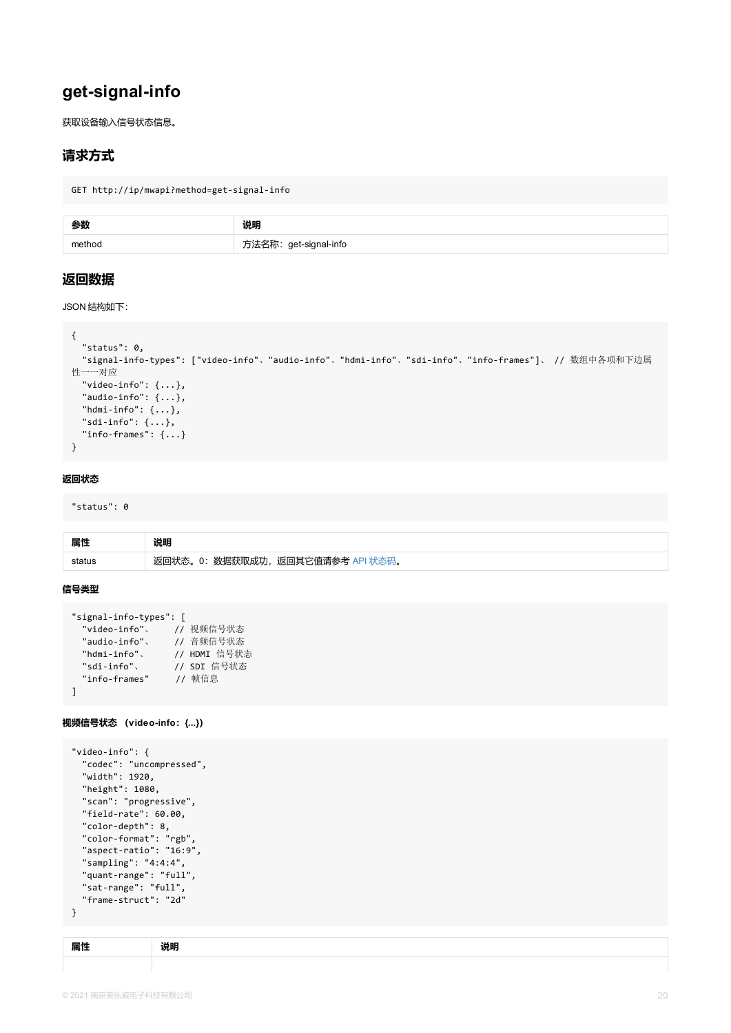```
"status": 0,
  "signal-info-types": ["video-info"、"audio-info"、"hdmi-info"、"sdi-info"、"info-frames
性一一对应
  "video-info": \{ \ldots \},
  "audio-info": \{ \ldots \},
  "hdmi-info": \{\ldots\},
  "sdi-info": {...},
  "info-frames": {...}
}
```
#### **返回状态**

"status": 0

| 属性     | 说明                                |
|--------|-----------------------------------|
| status | 返回状态。0: 数据获取成功, 返回其它值请参考 API 状态码。 |

#### **信号类型**

```
"signal-info-types": [
 "video-info"、 // 视频信号状态
 "audio-info"、 // 音频信号状态
 "hdmi-info"、 // HDMI 信号状态
 "sdi-info"、 // SDI 信号状态
 "info-frames" // 帧信息
\mathbf{I}
```
**视频信号状态 (video-info:{...})**

```
"video-info": {
  "codec": "uncompressed",
  "width": 1920,
  "height": 1080,
  "scan": "progressive",
  "field-rate": 60.00,
  "color-depth": 8,
  "color-format": "rgb",
  "aspect-ratio": "16:9",
  "sampling": "4:4:4",
  "quant-range": "full",
  "sat-range": "full",
  "frame-struct": "2d"
}
```

| 居竹 |  |
|----|--|
|    |  |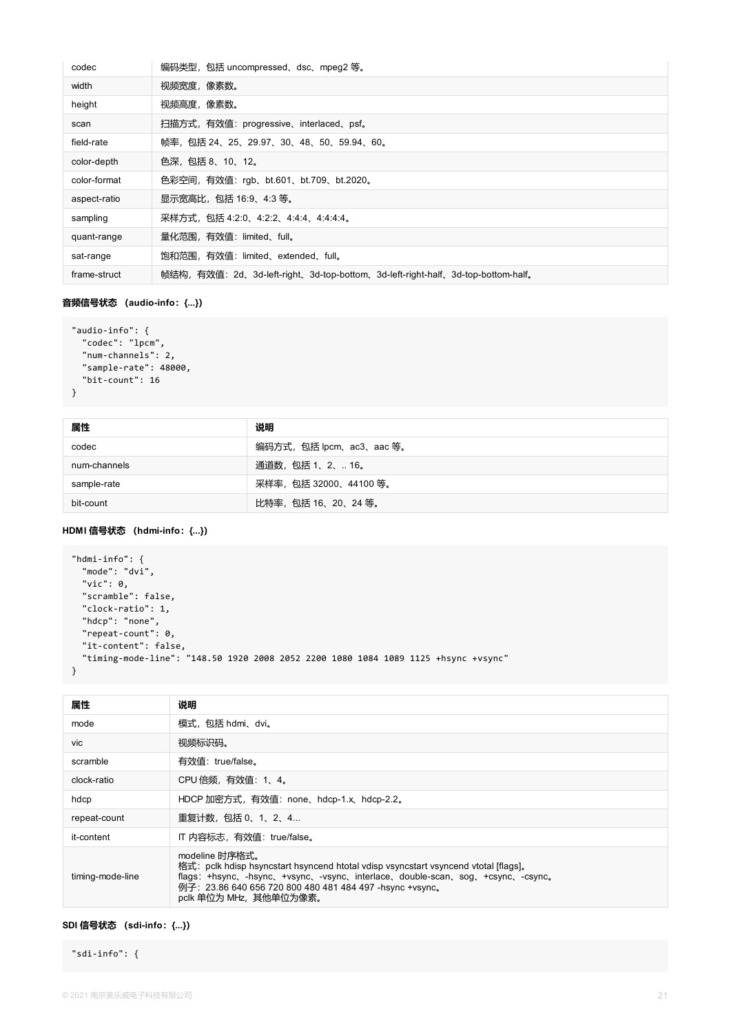| codec        | 编码类型,包括 uncompressed、dsc、mpeg2 等。                                             |
|--------------|-------------------------------------------------------------------------------|
| width        | 视频宽度,像素数。                                                                     |
| height       | 视频高度,像素数。                                                                     |
| scan         | 扫描方式,有效值: progressive、interlaced、psf。                                         |
| field-rate   | 帧率,包括 24、25、29.97、30、48、50、59.94、60。                                          |
| color-depth  | 色深,包括 8、10、12。                                                                |
| color-format | 色彩空间, 有效值: rgb、bt.601、bt.709、bt.2020。                                         |
| aspect-ratio | 显示宽高比, 包括 16:9、4:3 等。                                                         |
| sampling     | 采样方式, 包括 4:2:0、4:2:2、4:4:4、4:4:4:4。                                           |
| quant-range  | 量化范围,有效值: limited、full。                                                       |
| sat-range    | 饱和范围,有效值: limited、extended、full。                                              |
| frame-struct | 帧结构,有效值:2d、3d-left-right、3d-top-bottom、3d-left-right-half、3d-top-bottom-half。 |

#### **音频信号状态 (audio-info:{...})**

```
"audio-info": {
 "codec": "lpcm",
 "num-channels": 2,
 "sample-rate": 48000,
 "bit-count": 16
}
```

| 属性           | 说明                      |
|--------------|-------------------------|
| codec        | 编码方式,包括 lpcm、ac3、aac 等。 |
| num-channels | 通道数,包括 1、2、 16。         |
| sample-rate  | 采样率, 包括 32000、44100 等。  |
| bit-count    | 比特率,包括16、20、24 等。       |

#### **HDMI 信号状态 (hdmi-info:{...})**

```
"hdmi-info": {
 "mode": "dvi",
 "vic": 0,
 "scramble": false,
  "clock-ratio": 1,
 "hdcp": "none",
 "repeat-count": 0,
 "it-content": false,
 "timing-mode-line": "148.50 1920 2008 2052 2200 1080 1084 1089 1125 +hsync +vsync"
}
```

| 属性               | 说明                                                                                                                                                                                                                                                                                 |
|------------------|------------------------------------------------------------------------------------------------------------------------------------------------------------------------------------------------------------------------------------------------------------------------------------|
| mode             | 模式,包括 hdmi、dvi。                                                                                                                                                                                                                                                                    |
| vic              | 视频标识码。                                                                                                                                                                                                                                                                             |
| scramble         | 有效值: true/false。                                                                                                                                                                                                                                                                   |
| clock-ratio      | CPU 倍频, 有效值: 1、4。                                                                                                                                                                                                                                                                  |
| hdcp             | HDCP 加密方式, 有效值: none、hdcp-1.x、hdcp-2.2。                                                                                                                                                                                                                                            |
| repeat-count     | 重复计数,包括 0、1、2、4                                                                                                                                                                                                                                                                    |
| it-content       | IT 内容标志, 有效值: true/false。                                                                                                                                                                                                                                                          |
| timing-mode-line | modeline 时序格式。<br>格式: pclk hdisp hsyncstart hsyncend htotal vdisp vsyncstart vsyncend vtotal [flags],<br>flags: +hsync, -hsync, +vsync, -vsync, interlace, double-scan, sog, +csync, -csync,<br>例子: 23.86 640 656 720 800 480 481 484 497 -hsync +vsync.<br>pclk 单位为 MHz, 其他单位为像素。 |

#### **SDI 信号状态 (sdi-info:{...})**

"sdi-info": {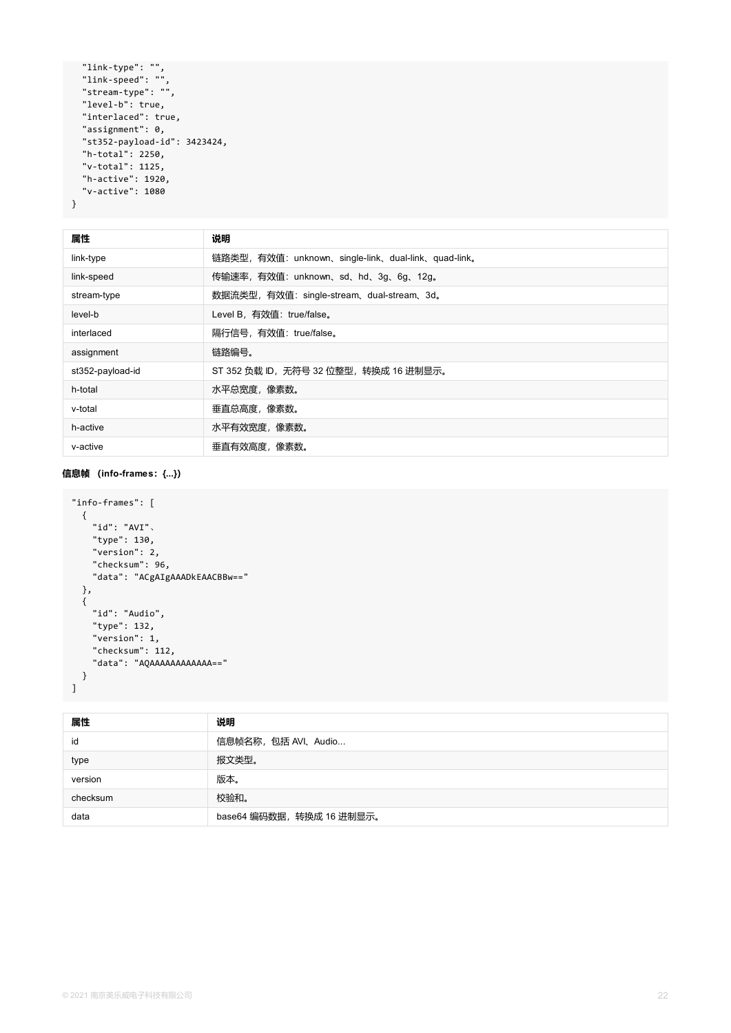```
"link-type": "",
 "link-speed": "",
  "stream-type": "",
  "level-b": true,
  "interlaced": true,
  "assignment": 0,
  "st352-payload-id": 3423424,
  "h-total": 2250,
  "v-total": 1125,
  "h-active": 1920,
  "v-active": 1080
}
```

| 属性               | 说明                                                  |
|------------------|-----------------------------------------------------|
| link-type        | 链路类型, 有效值: unknown、single-link、dual-link、quad-link。 |
| link-speed       | 传输速率, 有效值: unknown、sd、hd、3g、6g、12g。                 |
| stream-type      | 数据流类型, 有效值: single-stream、dual-stream、3d。           |
| level-b          | Level B, 有效值: true/false。                           |
| interlaced       | 隔行信号, 有效值: true/false。                              |
| assignment       | 链路编号。                                               |
| st352-payload-id | ST 352 负载 ID, 无符号 32 位整型, 转换成 16 进制显示。              |
| h-total          | 水平总宽度, 像素数。                                         |
| v-total          | 垂直总高度,像素数。                                          |
| h-active         | 水平有效宽度,像素数。                                         |
| v-active         | 垂直有效高度,像素数。                                         |

#### **信息帧 (info-frames:{...})**

```
"info-frames": [
 {
   "id": "AVI"、
   "type": 130,
    "version": 2,
   "checksum": 96,
   "data": "ACgAIgAAADkEAACBBw=="
 },
 {
   "id": "Audio",
   "type": 132,
   "version": 1,
   "checksum": 112,
   "data": "AQAAAAAAAAAAAA=="
 }
]
```

| 属性       | 说明                        |
|----------|---------------------------|
| id       | 信息帧名称, 包括 AVI、Audio       |
| type     | 报文类型。                     |
| version  | 版本。                       |
| checksum | 校验和。                      |
| data     | base64 编码数据, 转换成 16 进制显示。 |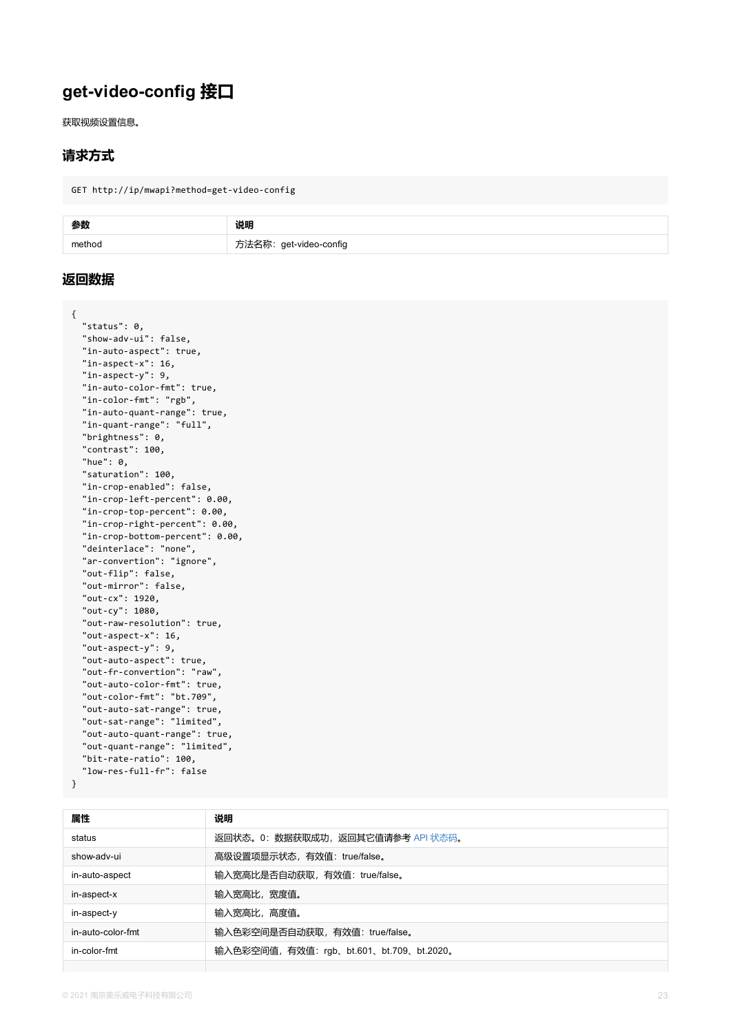```
"in-auto-aspect": true,
"in-aspect-x": 16,
"in-aspect-y": 9,
"in-auto-color-fmt": true,
"in-color-fmt": "rgb",
"in-auto-quant-range": true,
"in-quant-range": "full",
"brightness": 0,
"contrast": 100,
"hue": 0,
"saturation": 100,
"in-crop-enabled": false,
"in-crop-left-percent": 0.00,
"in-crop-top-percent": 0.00,
"in-crop-right-percent": 0.00,
"in-crop-bottom-percent": 0.00,
"deinterlace": "none",
"ar-convertion": "ignore",
"out-flip": false,
"out-mirror": false,
"out-cx": 1920,
"out-cy": 1080,
"out-raw-resolution": true,
"out-aspect-x": 16,
"out-aspect-y": 9,
"out-auto-aspect": true,
"out-fr-convertion": "raw",
"out-auto-color-fmt": true,
"out-color-fmt": "bt.709",
"out-auto-sat-range": true,
"out-sat-range": "limited",
"out-auto-quant-range": true,
"out-quant-range": "limited",
"bit-rate-ratio": 100,
"low-res-full-fr": false
```
**属性 说明** status 返回状态。0: 数据获取成功, 返回其它值请参考 API 状态码。 show-adv-ui **hetal contracts** as a contracts as a contracts as a contract as a contract as a contract as a contr in-auto-aspect http://www.chindelefalline.com/in-auto-aspect/secommultine/ 输入宽高比是否自动获取,有效值:true/false. in-aspect-x 输入宽高比, 宽度值。 in-aspect-y http://www.fin-aspect-y http://www.filedu.com/sect/2019/10/2019 in-auto-color-fmt 输入色彩空间是否自动获取, 有效值: true/false。 in-color-fmt 输入色彩空间值,有效值:rgb、bt.601、bt.709、bt.2020。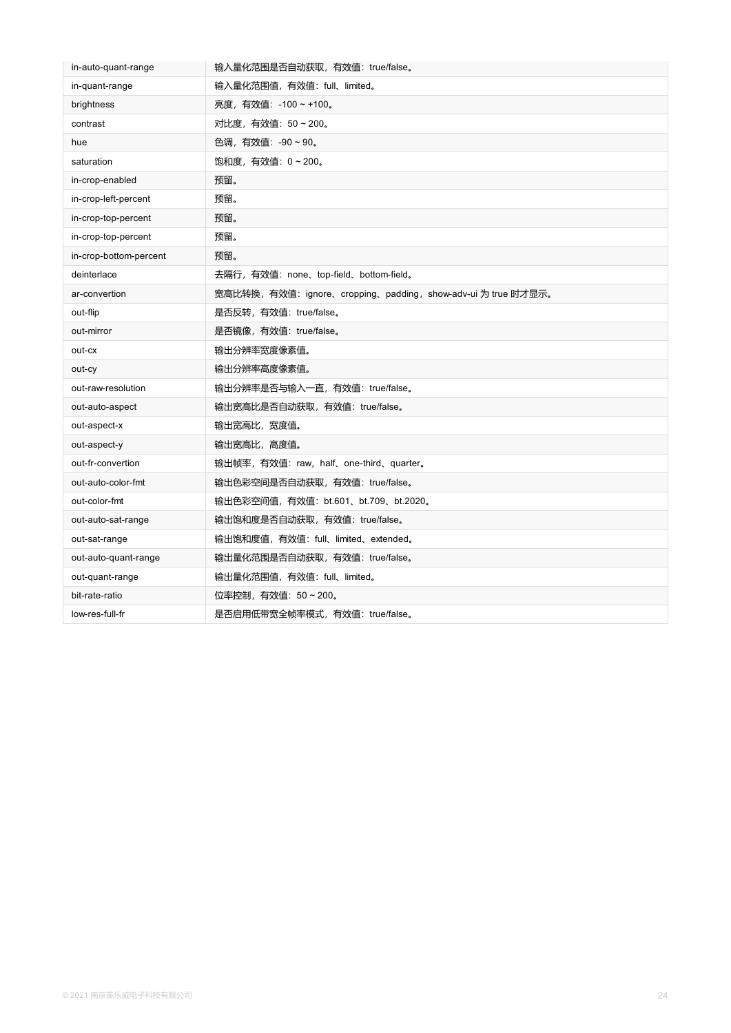| in-auto-quant-range    | 输入量化范围是否自动获取, 有效值: true/false。                               |
|------------------------|--------------------------------------------------------------|
| in-quant-range         | 输入量化范围值, 有效值: full、limited。                                  |
| brightness             | 亮度, 有效值: -100 ~ +100。                                        |
| contrast               | 对比度,有效值: 50~200。                                             |
| hue                    | 色调,有效值: -90~90。                                              |
| saturation             | 饱和度, 有效值: 0~200。                                             |
| in-crop-enabled        | 预留。                                                          |
| in-crop-left-percent   | 预留。                                                          |
| in-crop-top-percent    | 预留。                                                          |
| in-crop-top-percent    | 预留。                                                          |
| in-crop-bottom-percent | 预留。                                                          |
| deinterlace            | 去隔行,有效值: none、top-field、bottom-field。                        |
| ar-convertion          | 宽高比转换,有效值: ignore、cropping、padding, show-adv-ui 为 true 时才显示。 |
| out-flip               | 是否反转, 有效值: true/false。                                       |
| out-mirror             | 是否镜像, 有效值: true/false。                                       |
| out-cx                 | 输出分辨率宽度像素值。                                                  |
| out-cy                 | 输出分辨率高度像素值。                                                  |
| out-raw-resolution     | 输出分辨率是否与输入一直, 有效值: true/false。                               |
| out-auto-aspect        | 输出宽高比是否自动获取, 有效值: true/false。                                |
| out-aspect-x           | 输出宽高比,宽度值。                                                   |
| out-aspect-y           | 输出宽高比, 高度值。                                                  |
| out-fr-convertion      | 输出帧率,有效值: raw, half、one-third、quarter。                       |
| out-auto-color-fmt     | 输出色彩空间是否自动获取, 有效值: true/false。                               |
| out-color-fmt          | 输出色彩空间值, 有效值: bt.601、bt.709、bt.2020。                         |
| out-auto-sat-range     | 输出饱和度是否自动获取, 有效值: true/false。                                |
| out-sat-range          | 输出饱和度值,有效值: full、limited、extended。                           |
| out-auto-quant-range   | 输出量化范围是否自动获取, 有效值: true/false。                               |
|                        |                                                              |
| out-quant-range        | 输出量化范围值, 有效值: full、limited。                                  |
| bit-rate-ratio         | 位率控制,有效值: 50 ~ 200。                                          |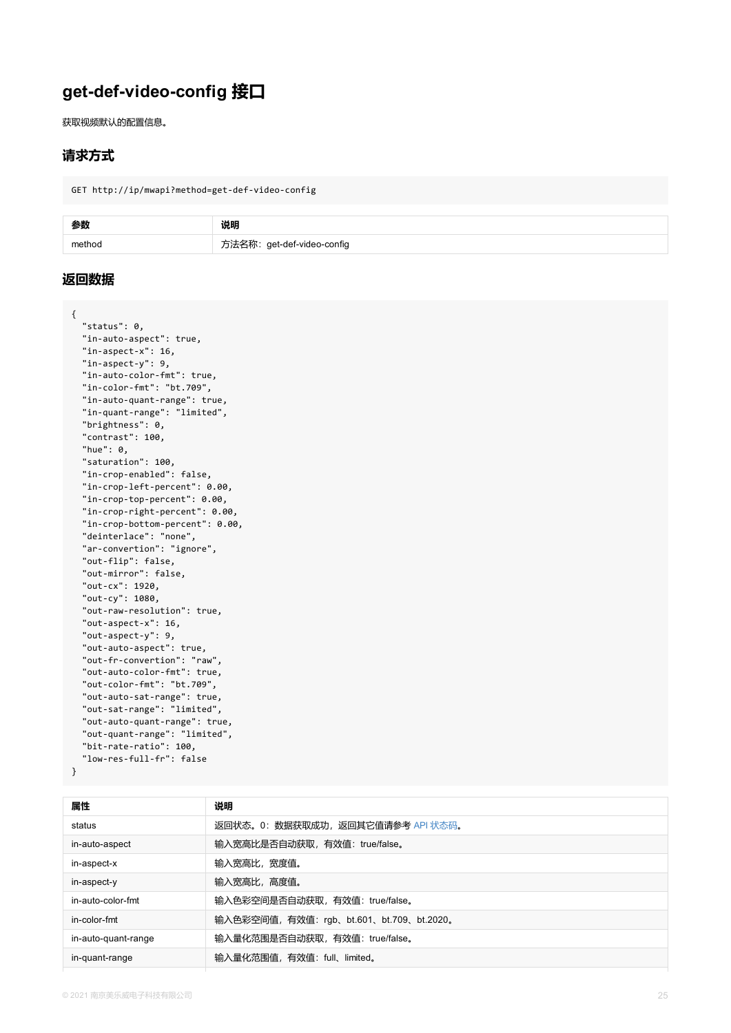```
"in-aspect-x": 16,
"in-aspect-y": 9,
"in-auto-color-fmt": true,
"in-color-fmt": "bt.709",
"in-auto-quant-range": true,
"in-quant-range": "limited",
"brightness": 0,
"contrast": 100,
"hue": 0,
"saturation": 100,
"in-crop-enabled": false,
"in-crop-left-percent": 0.00,
"in-crop-top-percent": 0.00,
"in-crop-right-percent": 0.00,
"in-crop-bottom-percent": 0.00,
"deinterlace": "none",
"ar-convertion": "ignore",
"out-flip": false,
"out-mirror": false,
"out-cx": 1920,
"out-cy": 1080,
"out-raw-resolution": true,
"out-aspect-x": 16,
"out-aspect-y": 9,
"out-auto-aspect": true,
"out-fr-convertion": "raw",
"out-auto-color-fmt": true,
"out-color-fmt": "bt.709",
"out-auto-sat-range": true,
"out-sat-range": "limited",
"out-auto-quant-range": true,
"out-quant-range": "limited",
"bit-rate-ratio": 100,
"low-res-full-fr": false
```

| 属性                  | 说明                                      |
|---------------------|-----------------------------------------|
| status              | 返回状态。0:数据获取成功,返回其它值请参考 API 状态码。         |
| in-auto-aspect      | 输入宽高比是否自动获取, 有效值: true/false。           |
| in-aspect-x         | 输入宽高比, 宽度值。                             |
| in-aspect-y         | 输入宽高比,高度值。                              |
| in-auto-color-fmt   | 输入色彩空间是否自动获取, 有效值: true/false。          |
| in-color-fmt        | 输入色彩空间值,有效值: rgb、bt.601、bt.709、bt.2020。 |
| in-auto-quant-range | 输入量化范围是否自动获取, 有效值: true/false。          |
| in-quant-range      | 输入量化范围值, 有效值: full、limited。             |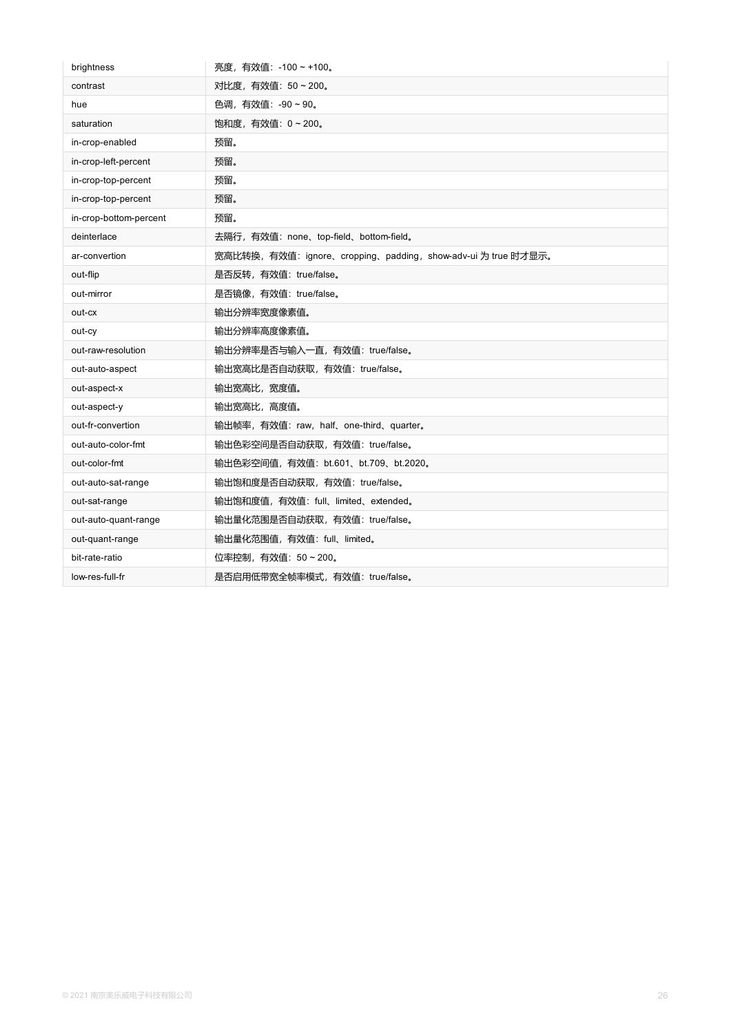| brightness             | 亮度,有效值: -100 ~ +100。                                          |
|------------------------|---------------------------------------------------------------|
| contrast               | 对比度,有效值: 50~200。                                              |
| hue                    | 色调,有效值: -90~90。                                               |
| saturation             | 饱和度, 有效值: 0~200。                                              |
| in-crop-enabled        | 预留。                                                           |
| in-crop-left-percent   | 预留。                                                           |
| in-crop-top-percent    | 预留。                                                           |
| in-crop-top-percent    | 预留。                                                           |
| in-crop-bottom-percent | 预留。                                                           |
| deinterlace            | 去隔行, 有效值: none、top-field、bottom-field。                        |
| ar-convertion          | 宽高比转换, 有效值: ignore、cropping、padding, show-adv-ui 为 true 时才显示。 |
| out-flip               | 是否反转, 有效值: true/false。                                        |
| out-mirror             | 是否镜像, 有效值: true/false。                                        |
| out-cx                 | 输出分辨率宽度像素值。                                                   |
| out-cy                 | 输出分辨率高度像素值。                                                   |
| out-raw-resolution     | 输出分辨率是否与输入一直, 有效值: true/false。                                |
| out-auto-aspect        | 输出宽高比是否自动获取, 有效值: true/false。                                 |
| out-aspect-x           | 输出宽高比,宽度值。                                                    |
| out-aspect-y           | 输出宽高比,高度值。                                                    |
| out-fr-convertion      | 输出帧率, 有效值: raw, half、one-third、quarter。                       |
| out-auto-color-fmt     | 输出色彩空间是否自动获取, 有效值: true/false。                                |
| out-color-fmt          | 输出色彩空间值, 有效值: bt.601、bt.709、bt.2020。                          |
| out-auto-sat-range     | 输出饱和度是否自动获取, 有效值: true/false。                                 |
| out-sat-range          | 输出饱和度值, 有效值: full、limited、extended。                           |
| out-auto-quant-range   | 输出量化范围是否自动获取, 有效值: true/false。                                |
| out-quant-range        | 输出量化范围值, 有效值: full、limited。                                   |
| bit-rate-ratio         | 位率控制,有效值: 50 ~ 200。                                           |
| low-res-full-fr        | 是否启用低带宽全帧率模式, 有效值: true/false。                                |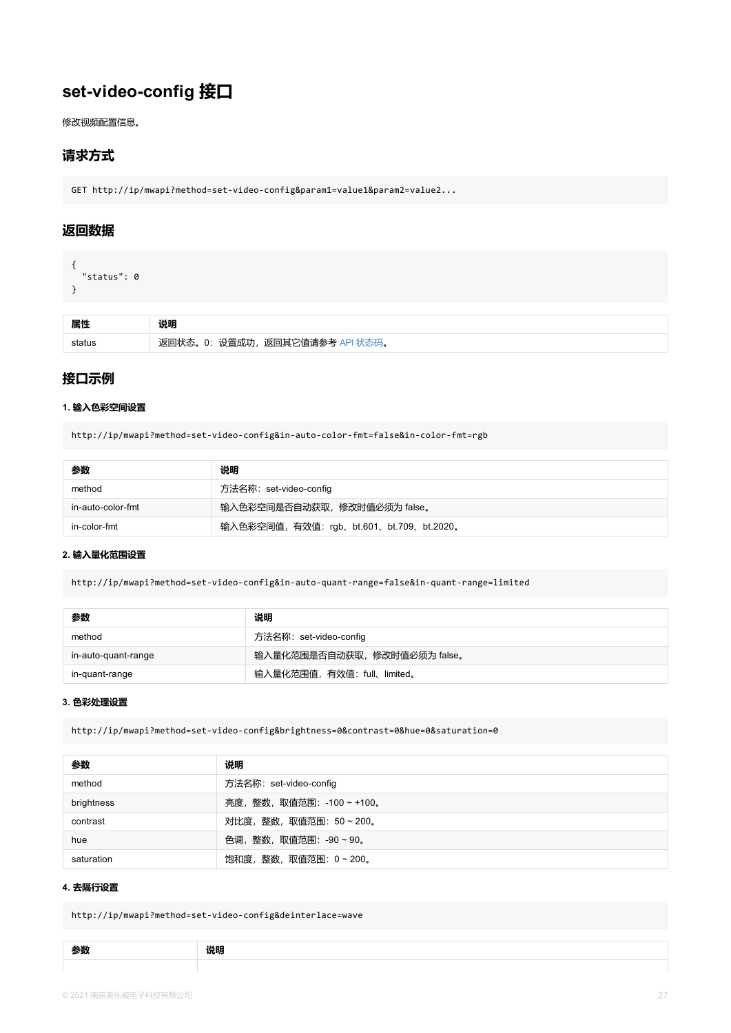### **接口示例**

#### **1. 输入色彩空间设置**

http://ip/mwapi?method=set-video-config&in-auto-color-fmt=false&in-color-fmt=rgb

| 参数                | 说明                                       |
|-------------------|------------------------------------------|
| method            | 方法名称: set-video-config                   |
| in-auto-color-fmt | 输入色彩空间是否自动获取, 修改时值必须为 false。             |
| in-color-fmt      | 输入色彩空间值, 有效值: rgb、bt.601、bt.709、bt.2020。 |

#### **2. 输入量化范围设置**

http://ip/mwapi?method=set-video-config&in-auto-quant-range=false&in-quant-range=limited

| 参数                  | 说明                           |
|---------------------|------------------------------|
| method              | 方法名称: set-video-config       |
| in-auto-quant-range | 输入量化范围是否自动获取, 修改时值必须为 false。 |
| in-quant-range      | 输入量化范围值, 有效值: full、limited。  |

#### **3. 色彩处理设置**

http://ip/mwapi?method=set-video-config&brightness=0&contrast=0&hue=0&saturation=0

| 参数         | 说明                         |
|------------|----------------------------|
| method     | 方法名称: set-video-config     |
| brightness | 亮度, 整数, 取值范围: -100 ~ +100。 |
| contrast   | 对比度, 整数, 取值范围: 50~200。     |
| hue        | 色调,整数,取值范围: -90~90。        |
| saturation | 饱和度, 整数, 取值范围: 0~200。      |

#### **4. 去隔行设置**

http://ip/mwapi?method=set-video-config&deinterlace=wave

| - - |  |
|-----|--|
|     |  |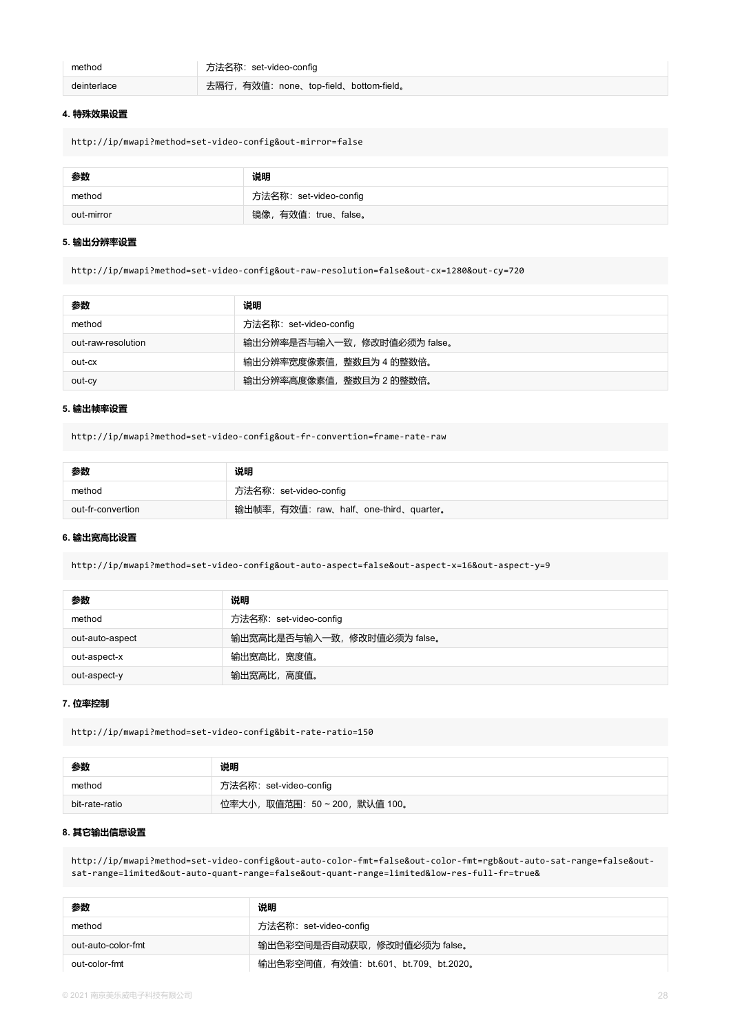| method      | 方法名称:set-video-config                 |
|-------------|---------------------------------------|
| deinterlace | 去隔行,有效值: none、top-field、bottom-field。 |

#### **4. 特殊效果设置**

http://ip/mwapi?method=set-video-config&out-mirror=false

| 参数         | 说明                    |
|------------|-----------------------|
| method     | 方法名称:set-video-config |
| out-mirror | 镜像,有效值: true、false。   |

#### **5. 输出分辨率设置**

http://ip/mwapi?method=set-video-config&out-raw-resolution=false&out-cx=1280&out-cy=720

| 参数                 | 说明                          |
|--------------------|-----------------------------|
| method             | 方法名称: set-video-config      |
| out-raw-resolution | 输出分辨率是否与输入一致,修改时值必须为 false。 |
| out-cx             | 输出分辨率宽度像素值,整数且为 4 的整数倍。     |
| out-cy             | 输出分辨率高度像素值,整数且为2的整数倍。       |

#### **5. 输出帧率设置**

http://ip/mwapi?method=set-video-config&out-fr-convertion=frame-rate-raw

| 参数                | 说明                                     |
|-------------------|----------------------------------------|
| method            | 方法名称:set-video-config                  |
| out-fr-convertion | 输出帧率, 有效值: raw、half、one-third、quarter。 |

#### **6. 输出宽高比设置**

http://ip/mwapi?method=set-video-config&out-auto-aspect=false&out-aspect-x=16&out-aspect-y=9

| 参数              | 说明                           |
|-----------------|------------------------------|
| method          | 方法名称: set-video-config       |
| out-auto-aspect | 输出宽高比是否与输入一致, 修改时值必须为 false。 |
| out-aspect-x    | 输出宽高比,宽度值。                   |
| out-aspect-y    | 输出宽高比, 高度值。                  |

#### **7. 位率控制**

http://ip/mwapi?method=set-video-config&bit-rate-ratio=150

| ---<br>李致 | 说明 |
|-----------|----|
|           |    |

| method         | 方法名称:set-video-config       |
|----------------|-----------------------------|
| bit-rate-ratio | 位率大小,取值范围:50 ~ 200,默认值 100。 |

#### **8. 其它输出信息设置**

http://ip/mwapi?method=set-video-config&out-auto-color-fmt=false&out-color-fmt=rgb&out-auto-sat-range=false&outsat-range=limited&out-auto-quant-range=false&out-quant-range=limited&low-res-full-fr=true&

| 参数                 | 说明                                  |
|--------------------|-------------------------------------|
| method             | 方法名称: set-video-config              |
| out-auto-color-fmt | 输出色彩空间是否自动获取, 修改时值必须为 false。        |
| out-color-fmt      | 输出色彩空间值,有效值: bt.601、bt.709、bt.2020。 |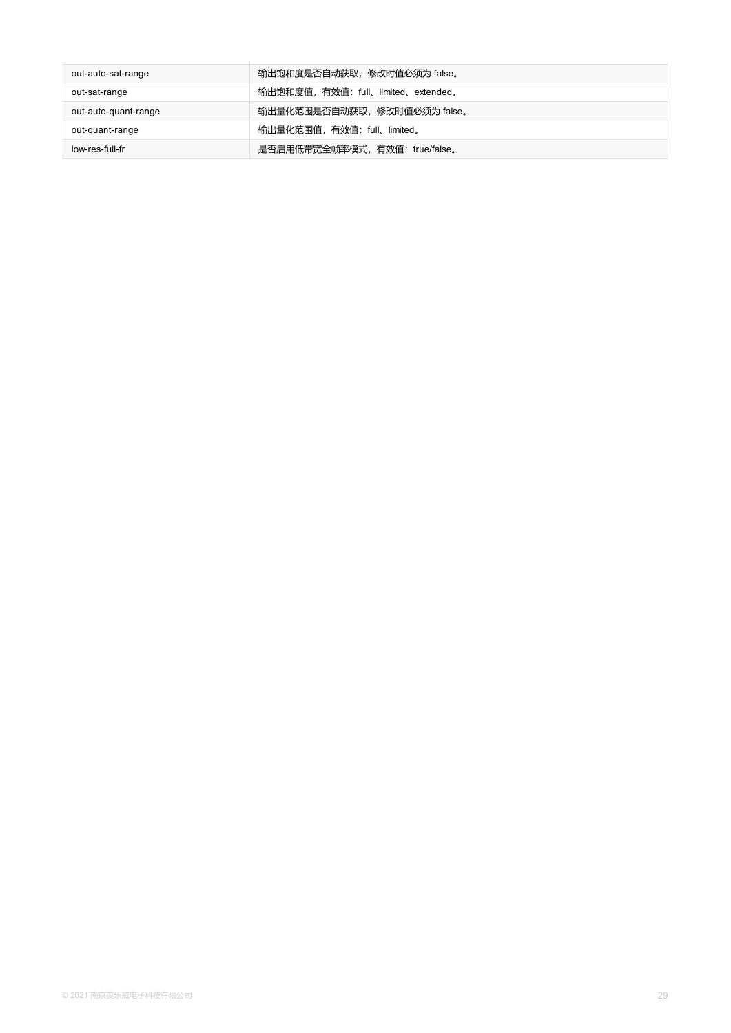| out-auto-sat-range   | 输出饱和度是否自动获取,修改时值必须为 false。          |
|----------------------|-------------------------------------|
| out-sat-range        | 输出饱和度值, 有效值: full、limited、extended。 |
| out-auto-quant-range | 输出量化范围是否自动获取, 修改时值必须为 false。        |
| out-quant-range      | 输出量化范围值, 有效值: full、limited。         |
| low-res-full-fr      | 是否启用低带宽全帧率模式, 有效值: true/false。      |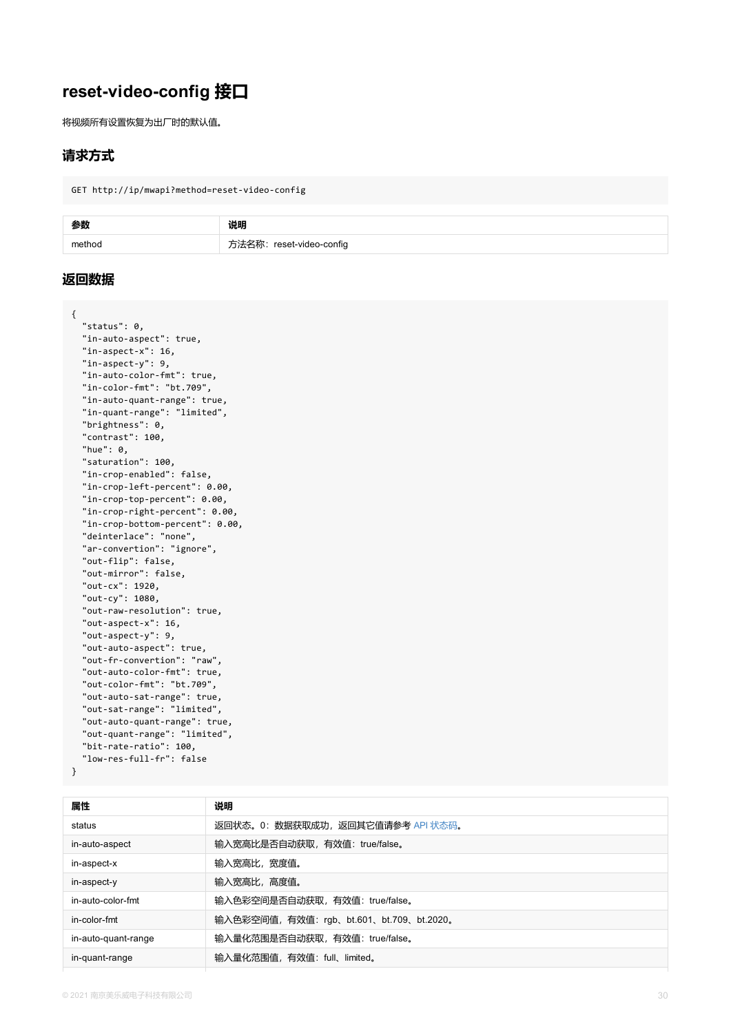```
"in-aspect-x": 16,
"in-aspect-y": 9,
"in-auto-color-fmt": true,
"in-color-fmt": "bt.709",
"in-auto-quant-range": true,
"in-quant-range": "limited",
"brightness": 0,
"contrast": 100,
"hue": 0,
"saturation": 100,
"in-crop-enabled": false,
"in-crop-left-percent": 0.00,
"in-crop-top-percent": 0.00,
"in-crop-right-percent": 0.00,
"in-crop-bottom-percent": 0.00,
"deinterlace": "none",
"ar-convertion": "ignore",
"out-flip": false,
"out-mirror": false,
"out-cx": 1920,
"out-cy": 1080,
"out-raw-resolution": true,
"out-aspect-x": 16,
"out-aspect-y": 9,
"out-auto-aspect": true,
"out-fr-convertion": "raw",
"out-auto-color-fmt": true,
"out-color-fmt": "bt.709",
"out-auto-sat-range": true,
"out-sat-range": "limited",
"out-auto-quant-range": true,
"out-quant-range": "limited",
"bit-rate-ratio": 100,
"low-res-full-fr": false
```

| 属性                  | 说明                                      |
|---------------------|-----------------------------------------|
| status              | 返回状态。0:数据获取成功,返回其它值请参考 API 状态码。         |
| in-auto-aspect      | 输入宽高比是否自动获取, 有效值: true/false。           |
| in-aspect-x         | 输入宽高比, 宽度值。                             |
| in-aspect-y         | 输入宽高比,高度值。                              |
| in-auto-color-fmt   | 输入色彩空间是否自动获取, 有效值: true/false。          |
| in-color-fmt        | 输入色彩空间值,有效值: rgb、bt.601、bt.709、bt.2020。 |
| in-auto-quant-range | 输入量化范围是否自动获取, 有效值: true/false。          |
| in-quant-range      | 输入量化范围值, 有效值: full、limited。             |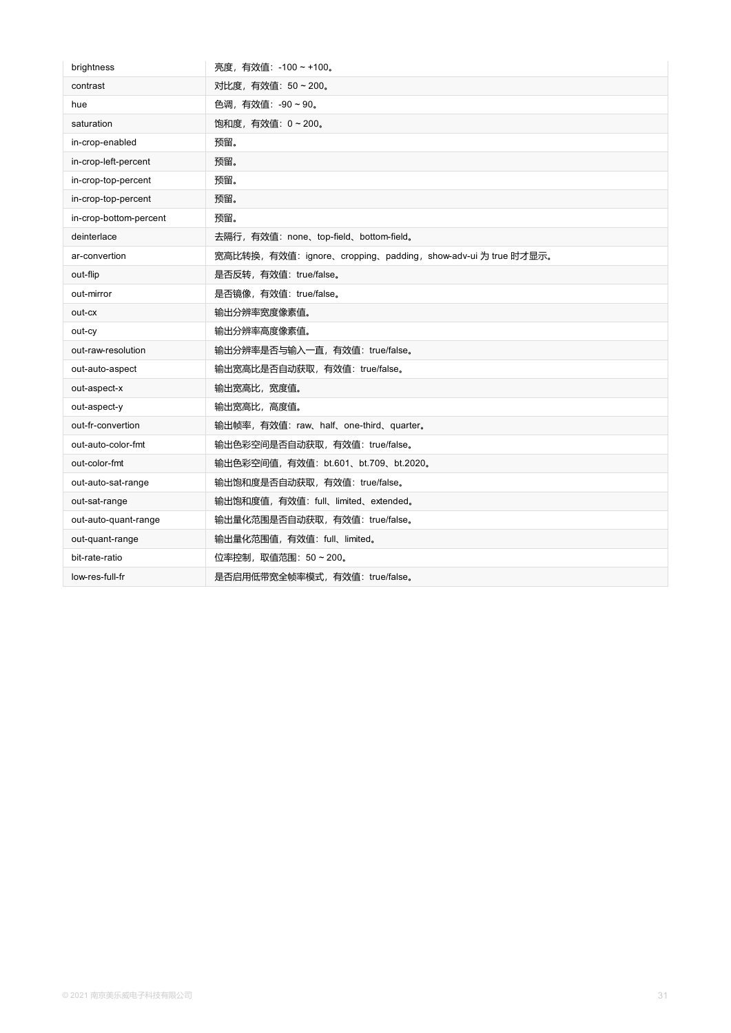| brightness             | 亮度,有效值: -100~+100。                                            |
|------------------------|---------------------------------------------------------------|
| contrast               | 对比度, 有效值: 50~200。                                             |
| hue                    | 色调, 有效值: -90~90。                                              |
| saturation             | 饱和度, 有效值: 0~200。                                              |
| in-crop-enabled        | 预留。                                                           |
| in-crop-left-percent   | 预留。                                                           |
| in-crop-top-percent    | 预留。                                                           |
| in-crop-top-percent    | 预留。                                                           |
| in-crop-bottom-percent | 预留。                                                           |
| deinterlace            | 去隔行, 有效值: none、top-field、bottom-field。                        |
| ar-convertion          | 宽高比转换, 有效值: ignore、cropping、padding, show-adv-ui 为 true 时才显示。 |
| out-flip               | 是否反转, 有效值: true/false。                                        |
| out-mirror             | 是否镜像, 有效值: true/false。                                        |
| out-cx                 | 输出分辨率宽度像素值。                                                   |
| out-cy                 | 输出分辨率高度像素值。                                                   |
| out-raw-resolution     | 输出分辨率是否与输入一直,有效值: true/false。                                 |
| out-auto-aspect        | 输出宽高比是否自动获取, 有效值: true/false。                                 |
| out-aspect-x           | 输出宽高比,宽度值。                                                    |
| out-aspect-y           | 输出宽高比,高度值。                                                    |
| out-fr-convertion      | 输出帧率, 有效值: raw、half、one-third、quarter。                        |
| out-auto-color-fmt     | 输出色彩空间是否自动获取, 有效值: true/false。                                |
| out-color-fmt          | 输出色彩空间值, 有效值: bt.601、bt.709、bt.2020。                          |
| out-auto-sat-range     | 输出饱和度是否自动获取, 有效值: true/false。                                 |
| out-sat-range          | 输出饱和度值, 有效值: full、limited、extended。                           |
| out-auto-quant-range   | 输出量化范围是否自动获取,有效值: true/false。                                 |
| out-quant-range        | 输出量化范围值, 有效值: full、limited。                                   |
| bit-rate-ratio         | 位率控制, 取值范围: 50~200。                                           |
| low-res-full-fr        | 是否启用低带宽全帧率模式, 有效值: true/false。                                |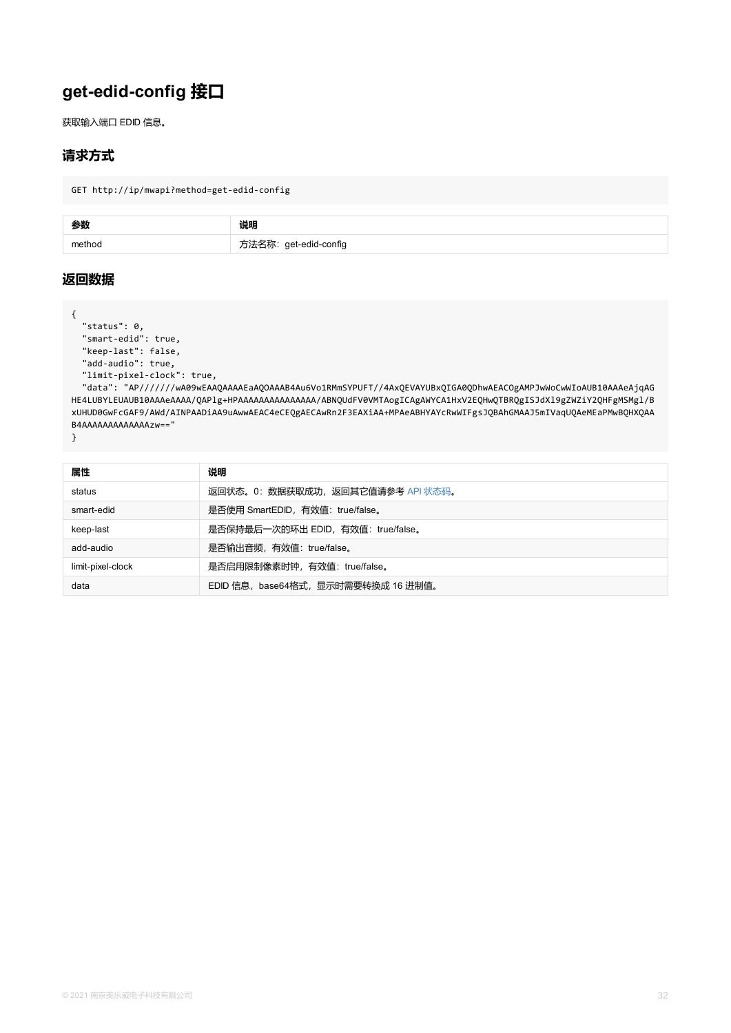```
"keep-last": false,
"add-audio": true,
"limit-pixel-clock": true,
```
"data": "AP//////wA09wEAAQAAAAEaAQOAAAB4Au6Vo1RMmSYPUFT//4AxQEVAYUBxQIGA0QDhwAEACOgAMI HE4LUBYLEUAUB10AAAeAAAA/QAPlg+HPAAAAAAAAAAAAAAAA/ABNQUdFV0VMTAogICAgAWYCA1HxV2EQHwQTBRQgI xUHUD0GwFcGAF9/AWd/AINPAADiAA9uAwwAEAC4eCEQgAECAwRn2F3EAXiAA+MPAeABHYAYcRwWIFgsJQBAhGMAA B4AAAAAAAAAAAAAzw=="

| 属性                | 说明                                  |
|-------------------|-------------------------------------|
| status            | 返回状态。0:数据获取成功,返回其它值请参考 API 状态码。     |
| smart-edid        | 是否使用 SmartEDID, 有效值: true/false。    |
| keep-last         | 是否保持最后一次的环出 EDID, 有效值: true/false。  |
| add-audio         | 是否输出音频, 有效值: true/false。            |
| limit-pixel-clock | 是否启用限制像素时钟,有效值: true/false。         |
| data              | EDID 信息, base64格式, 显示时需要转换成 16 进制值。 |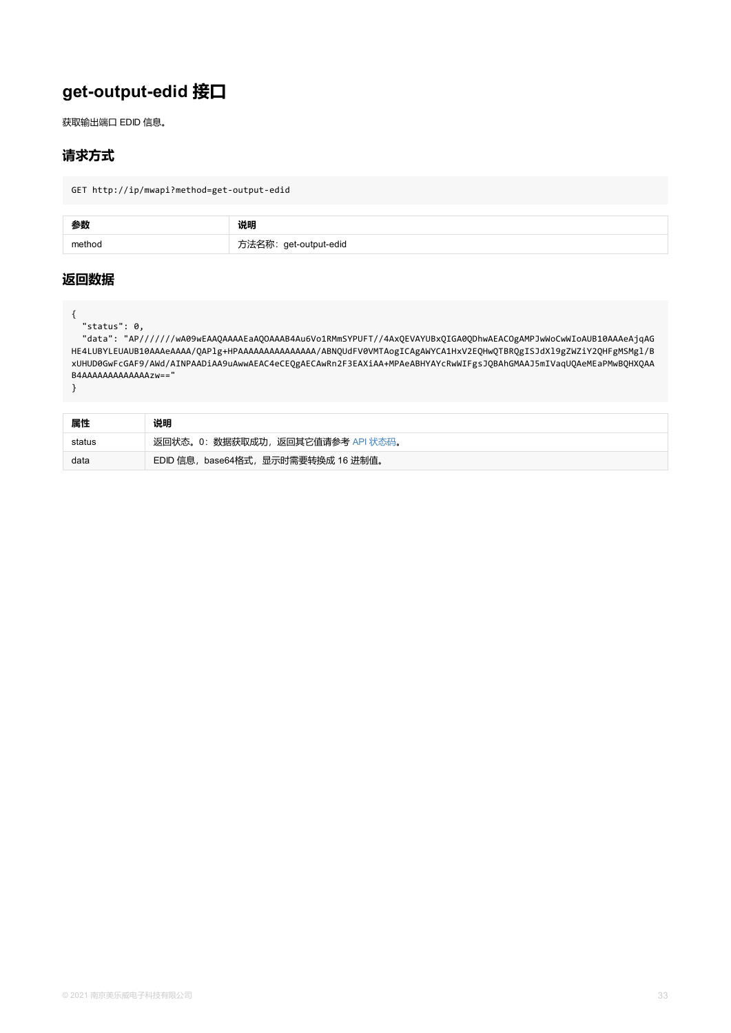HE4LUBYLEUAUB10AAAeAAAA/QAPlg+HPAAAAAAAAAAAAAAAA/ABNQUdFV0VMTAogICAgAWYCA1HxV2EQHwQTBRQgI xUHUD0GwFcGAF9/AWd/AINPAADiAA9uAwwAEAC4eCEQgAECAwRn2F3EAXiAA+MPAeABHYAYcRwWIFgsJQBAhGMAA B4AAAAAAAAAAAAAzw=="

| 属性     | 说明                                  |
|--------|-------------------------------------|
| status | 返回状态。0: 数据获取成功, 返回其它值请参考 API 状态码。   |
| data   | EDID 信息, base64格式, 显示时需要转换成 16 进制值。 |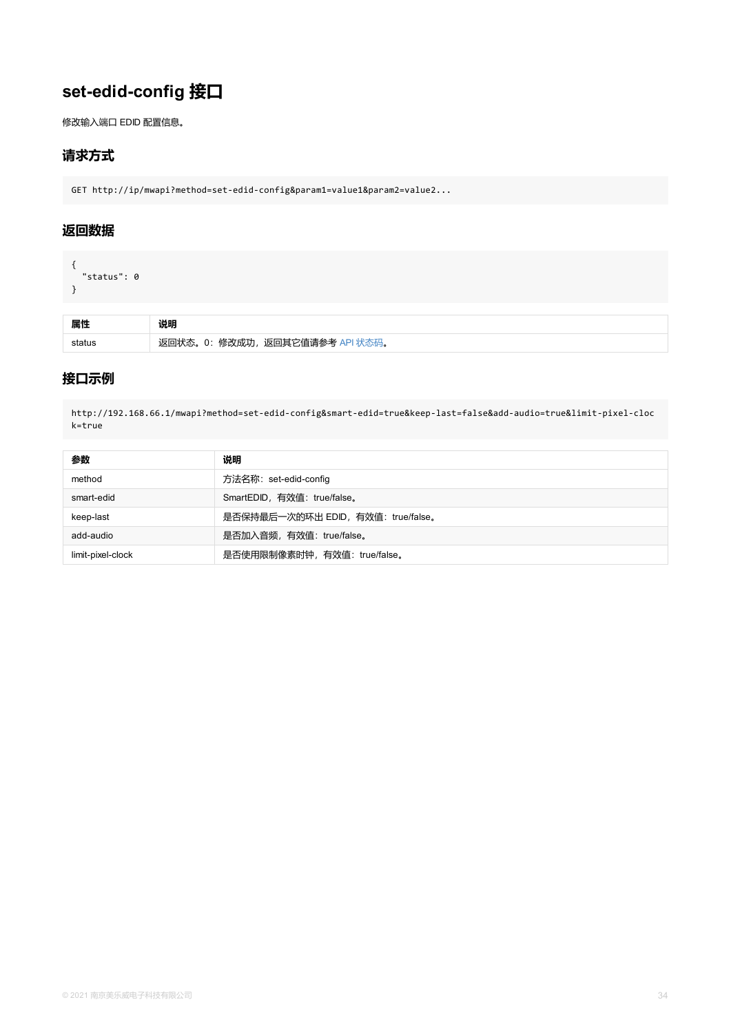## **接口示例**

http://192.168.66.1/mwapi?method=set-edid-config&smart-edid=true&keep-last=false&add-aud k=true

| 参数                | 说明                                 |
|-------------------|------------------------------------|
| method            | 方法名称: set-edid-config              |
| smart-edid        | SmartEDID, 有效值: true/false。        |
| keep-last         | 是否保持最后一次的环出 EDID, 有效值: true/false。 |
| add-audio         | 是否加入音频, 有效值: true/false。           |
| limit-pixel-clock | 是否使用限制像素时钟, 有效值: true/false。       |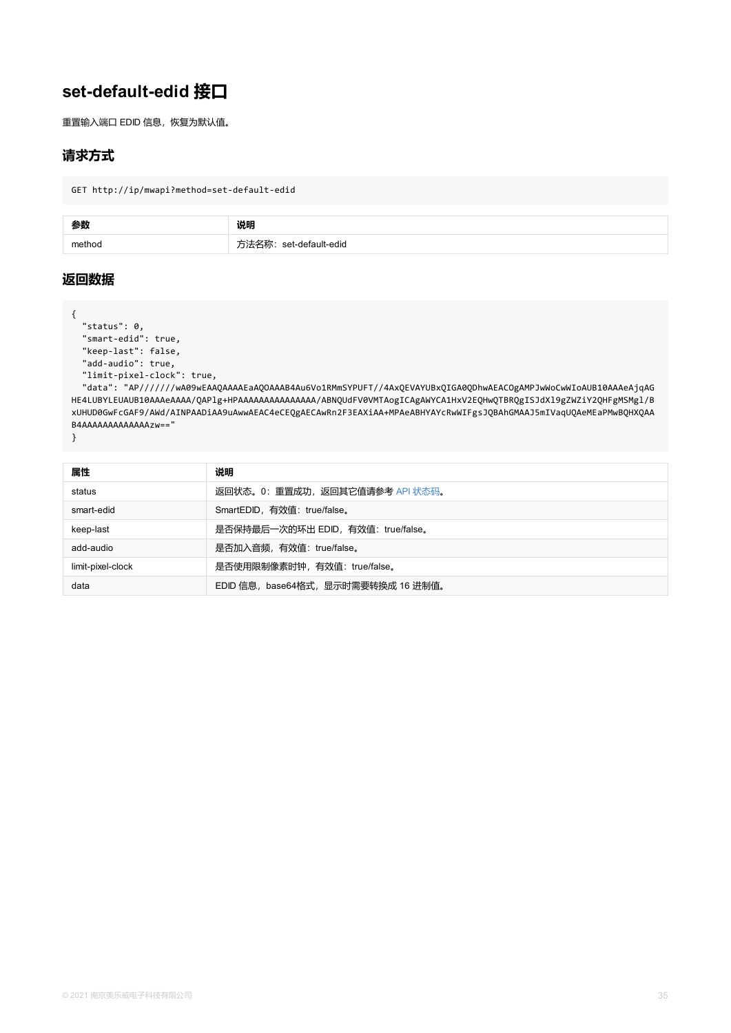```
"keep-last": false,
"add-audio": true,
"limit-pixel-clock": true,
```
"data": "AP//////wA09wEAAQAAAAEaAQOAAAB4Au6Vo1RMmSYPUFT//4AxQEVAYUBxQIGA0QDhwAEACOgAMI HE4LUBYLEUAUB10AAAeAAAA/QAPlg+HPAAAAAAAAAAAAAAAA/ABNQUdFV0VMTAogICAgAWYCA1HxV2EQHwQTBRQgI xUHUD0GwFcGAF9/AWd/AINPAADiAA9uAwwAEAC4eCEQgAECAwRn2F3EAXiAA+MPAeABHYAYcRwWIFgsJQBAhGMAA B4AAAAAAAAAAAAAzw=="

| 属性                | 说明                                  |
|-------------------|-------------------------------------|
| status            | 返回状态。0: 重置成功, 返回其它值请参考 API 状态码。     |
| smart-edid        | SmartEDID, 有效值: true/false。         |
| keep-last         | 是否保持最后一次的环出 EDID, 有效值: true/false。  |
| add-audio         | 是否加入音频, 有效值: true/false。            |
| limit-pixel-clock | 是否使用限制像素时钟, 有效值: true/false。        |
| data              | EDID 信息, base64格式, 显示时需要转换成 16 进制值。 |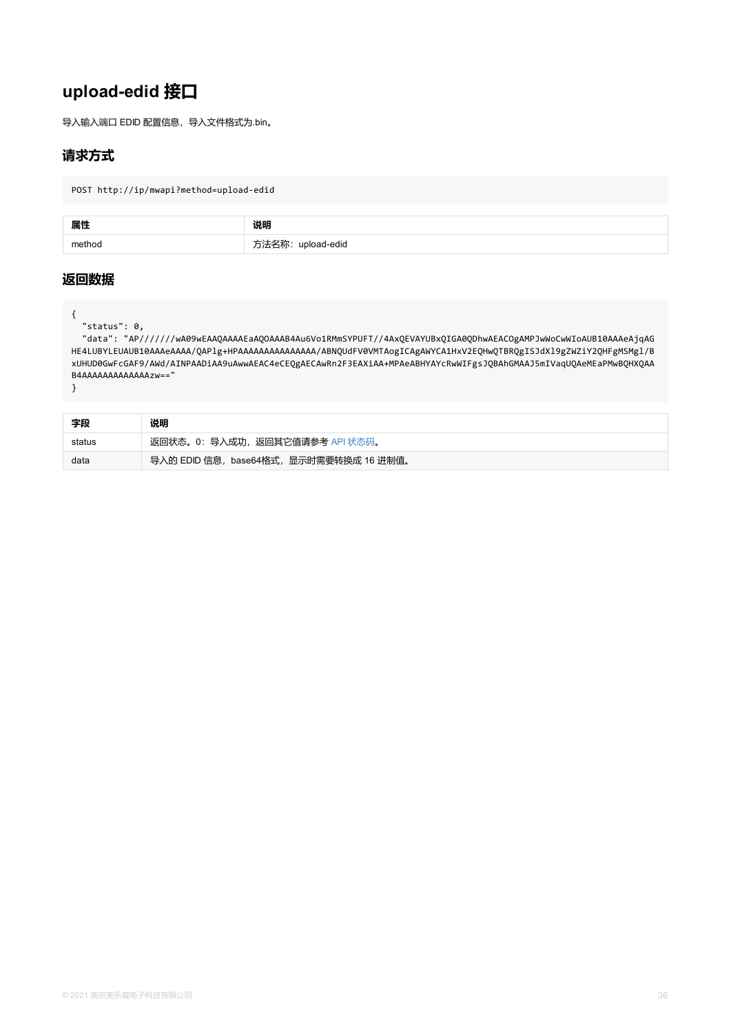```
HE4LUBYLEUAUB10AAAeAAAA/QAPlg+HPAAAAAAAAAAAAAAAA/ABNQUdFV0VMTAogICAgAWYCA1HxV2EQHwQTBRQgI
xUHUD0GwFcGAF9/AWd/AINPAADiAA9uAwwAEAC4eCEQgAECAwRn2F3EAXiAA+MPAeABHYAYcRwWIFgsJQBAhGMAA
B4AAAAAAAAAAAAAzw=="
```

| 字段     | 说明                                      |
|--------|-----------------------------------------|
| status | 返回状态。0: 导入成功, 返回其它值请参考 API 状态码。         |
| data   | 导入的 EDID 信息, base64格式, 显示时需要转换成 16 进制值。 |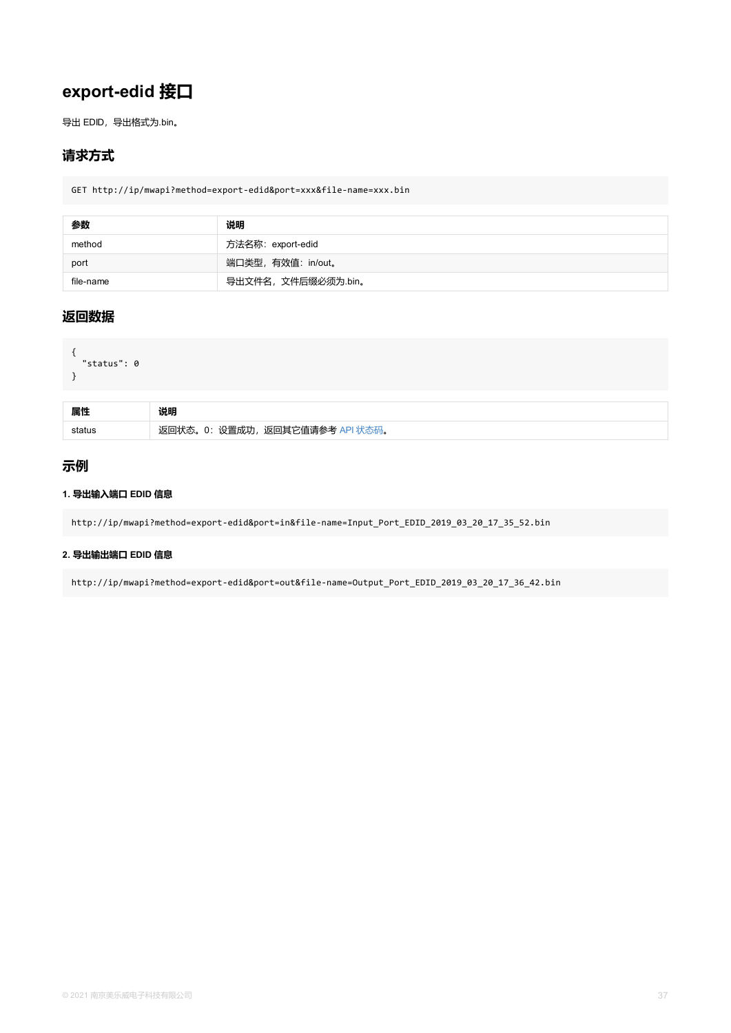```
{
  "status": 0
}
```

| 属性 | 说明                                   |
|----|--------------------------------------|
|    | 返回状态。0: 设置成功,<br>, 返回其它值请参考 API 状态码。 |

## **示例**

#### **1. 导出输入端口 EDID 信息**

http://ip/mwapi?method=export-edid&port=in&file-name=Input\_Port\_EDID\_2019\_03\_20\_17\_35\_52

#### **2. 导出输出端口 EDID 信息**

http://ip/mwapi?method=export-edid&port=out&file-name=Output\_Port\_EDID\_2019\_03\_20\_17\_36\_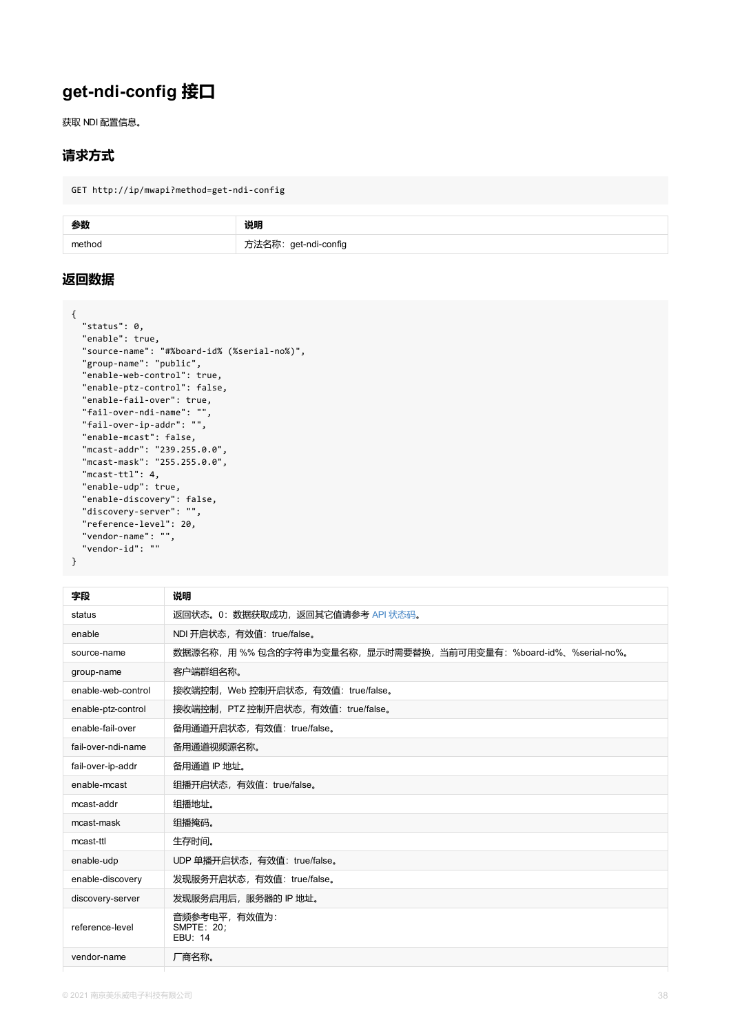```
"source-name": "#%board-id% (%serial-no%)",
"group-name": "public",
"enable-web-control": true,
"enable-ptz-control": false,
"enable-fail-over": true,
"fail-over-ndi-name": "",
"fail-over-ip-addr": "",
"enable-mcast": false,
"mcast-addr": "239.255.0.0",
"mcast-mask": "255.255.0.0",
"mcast-ttl": 4,
"enable-udp": true,
"enable-discovery": false,
"discovery-server": "",
"reference-level": 20,
"vendor-name": "",
"vendor-id": ""
```

| 字段                 | 说明                                           |
|--------------------|----------------------------------------------|
| status             | 返回状态。0: 数据获取成功, 返回其它值请参考 API 状态码。            |
| enable             | NDI 开启状态, 有效值: true/false。                   |
| source-name        | 数据源名称,用 %% 包含的字符串为变量名称,显示时需要替换,当前可用变量有:%bo   |
| group-name         | 客户端群组名称。                                     |
| enable-web-control | 接收端控制, Web 控制开启状态, 有效值: true/false。          |
| enable-ptz-control | 接收端控制, PTZ 控制开启状态, 有效值: true/false。          |
| enable-fail-over   | 备用通道开启状态, 有效值: true/false。                   |
| fail-over-ndi-name | 备用通道视频源名称。                                   |
| fail-over-ip-addr  | 备用通道 IP 地址。                                  |
| enable-mcast       | 组播开启状态, 有效值: true/false。                     |
| mcast-addr         | 组播地址。                                        |
| mcast-mask         | 组播掩码。                                        |
| mcast-ttl          | 生存时间。                                        |
| enable-udp         | UDP 单播开启状态, 有效值: true/false。                 |
| enable-discovery   | 发现服务开启状态, 有效值: true/false。                   |
| discovery-server   | 发现服务启用后, 服务器的 IP 地址。                         |
| reference-level    | 音频参考电平,有效值为:<br><b>SMPTE: 20;</b><br>EBU: 14 |
| vendor-name        | 厂商名称。                                        |
|                    |                                              |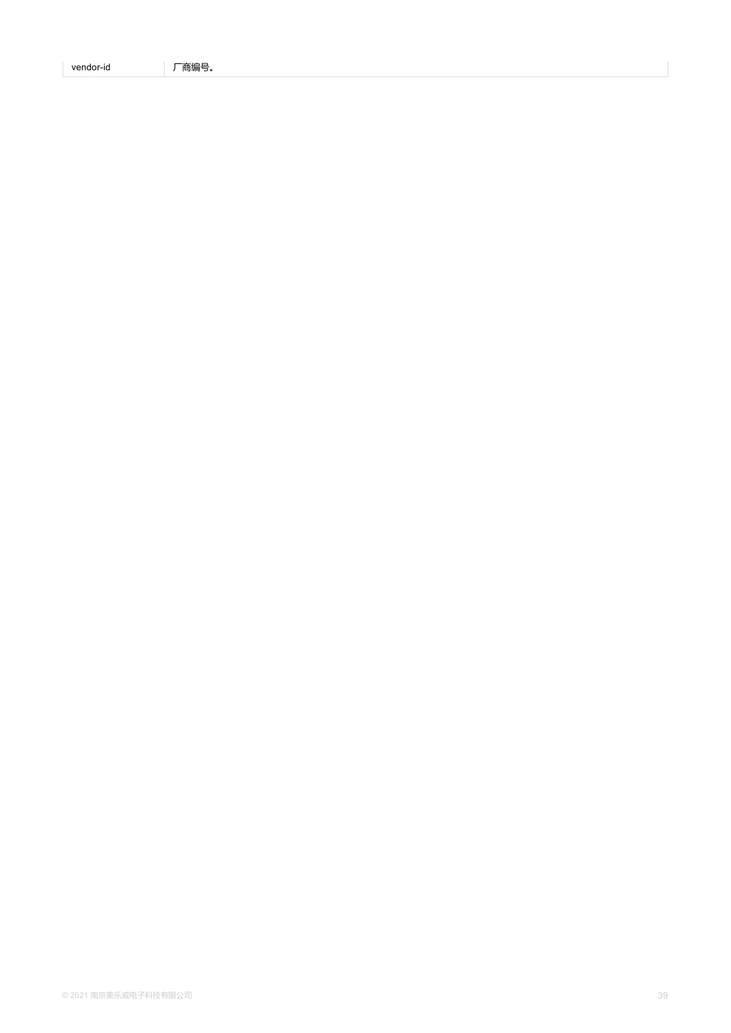| $V\cap R$<br>dor-id<br>—<br>- 1-1<br>ہ ب<br>.<br>$\mathbf{r}$ , $\mathbf{r}$ , $\mathbf{r}$ , $\mathbf{r}$ , $\mathbf{r}$ |  |
|---------------------------------------------------------------------------------------------------------------------------|--|
|---------------------------------------------------------------------------------------------------------------------------|--|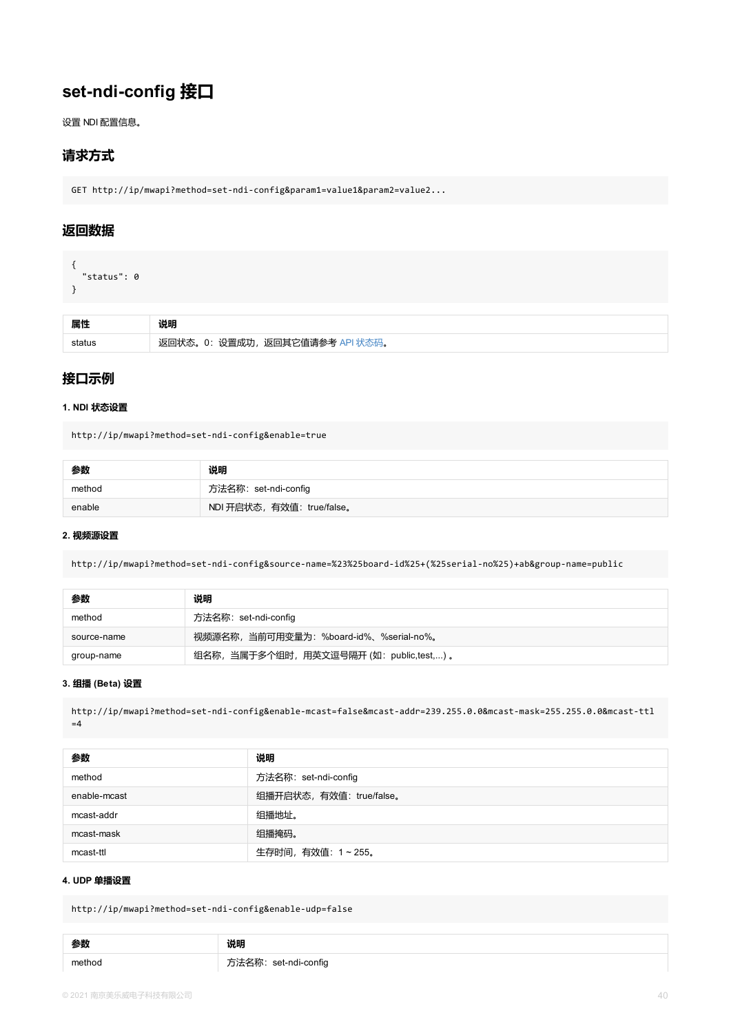### <span id="page-39-0"></span>**接口示例**

#### **1. NDI 状态设置**

http://ip/mwapi?method=set-ndi-config&enable=true

| 参数     | 说明                         |
|--------|----------------------------|
| method | 方法名称: set-ndi-config       |
| enable | NDI 开启状态, 有效值: true/false。 |

#### **2. 视频源设置**

http://ip/mwapi?method=set-ndi-config&source-name=%23%25board-id%25+(%25serial-no%25)+ab

| 参数          | 说明                                       |
|-------------|------------------------------------------|
| method      | 方法名称: set-ndi-config                     |
| source-name | 视频源名称, 当前可用变量为: %board-id%、%serial-no%。  |
| group-name  | 组名称, 当属于多个组时, 用英文逗号隔开 (如: public,test,)。 |

#### **3. 组播 (Beta) 设置**

http://ip/mwapi?method=set-ndi-config&enable-mcast=false&mcast-addr=239.255.0.0&mcast-ma  $=4$ 

| 参数           | 说明                       |
|--------------|--------------------------|
| method       | 方法名称: set-ndi-config     |
| enable-mcast | 组播开启状态, 有效值: true/false。 |
| mcast-addr   | 组播地址。                    |
| mcast-mask   | 组播掩码。                    |
| mcast-ttl    | 生存时间, 有效值: 1~255。        |

#### **4. UDP 单播设置**

http://ip/mwapi?method=set-ndi-config&enable-udp=false

| 参数     | 说明                   |
|--------|----------------------|
| method | 方法名称: set-ndi-config |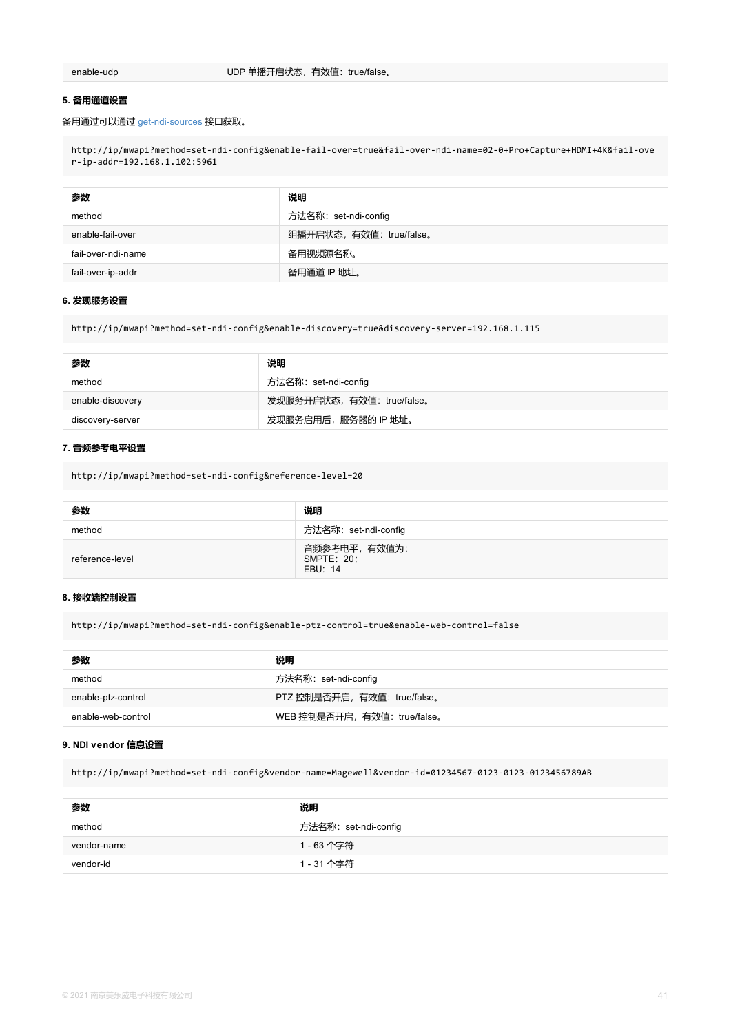| 参数               | 说明                         |
|------------------|----------------------------|
| method           | 方法名称: set-ndi-config       |
| enable-discovery | 发现服务开启状态, 有效值: true/false。 |
| discovery-server | 发现服务启用后, 服务器的 IP 地址。       |

#### **7. 音频参考电平设置**

http://ip/mw[api?method=set](#page-41-0)-ndi-config&reference-level=20

| 参数              | 说明                                     |
|-----------------|----------------------------------------|
| method          | 方法名称: set-ndi-config                   |
| reference-level | 音频参考电平, 有效值为:<br>SMPTE: 20;<br>EBU: 14 |

#### **8. 接收端控制设置**

http://ip/mwapi?method=set-ndi-config&enable-ptz-control=true&enable-web-control=false

| 参数                 | 说明                           |
|--------------------|------------------------------|
| method             | 方法名称: set-ndi-config         |
| enable-ptz-control | PTZ 控制是否开启, 有效值: true/false。 |
| enable-web-control | WEB 控制是否开启, 有效值: true/false。 |

#### **9. NDI vendor 信息设置**

http://ip/mwapi?method=set-ndi-config&vendor-name=Magewell&vendor-id=01234567-0123-0123-0

| 参数          | 说明                   |
|-------------|----------------------|
| method      | 方法名称: set-ndi-config |
| vendor-name | 1 - 63 个字符           |
| vendor-id   | 1 - 31 个字符           |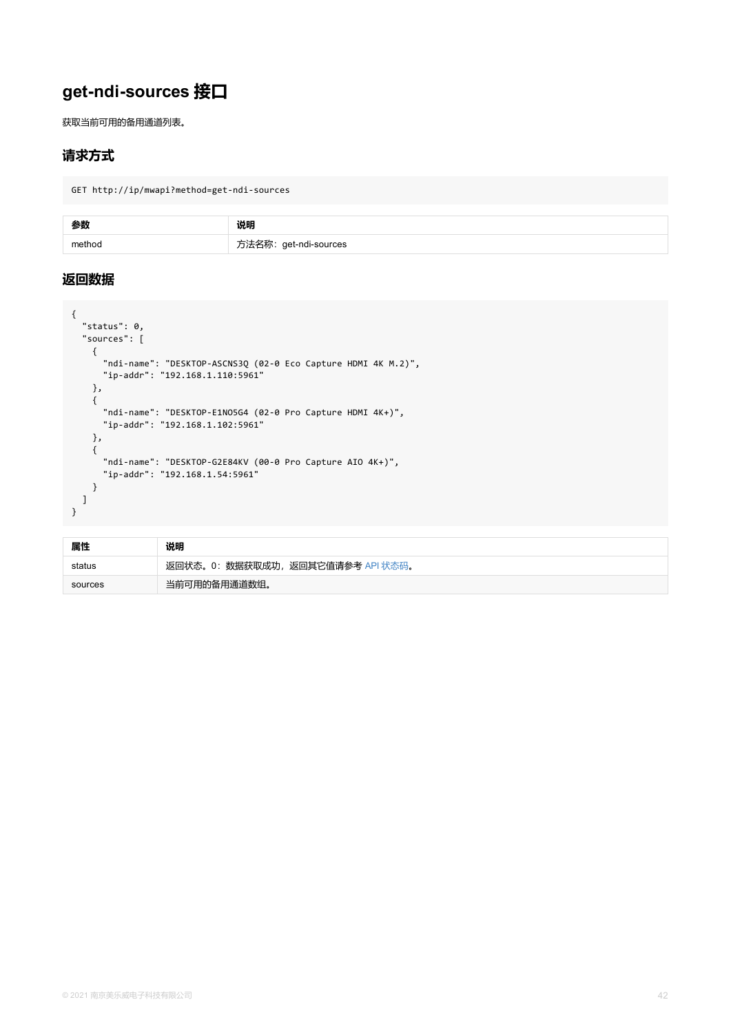```
{
      "ndi-name": "DESKTOP-ASCNS3Q (02-0 Eco Capture HDMI 4K M.2)",
     "ip-addr": "192.168.1.110:5961"
    },
    {
     "ndi-name": "DESKTOP-E1NO5G4 (02-0 Pro Capture HDMI 4K+)",
     "ip-addr": "192.168.1.102:5961"
    },
    {
      "ndi-name": "DESKTOP-G2E84KV (00-0 Pro Capture AIO 4K+)",
      "ip-addr": "192.168.1.54:5961"
    }
 ]
}
```

| 属性      | 说明                                |
|---------|-----------------------------------|
| status  | 返回状态。0: 数据获取成功, 返回其它值请参考 API 状态码。 |
| sources | 当前可用的备用通道数组。                      |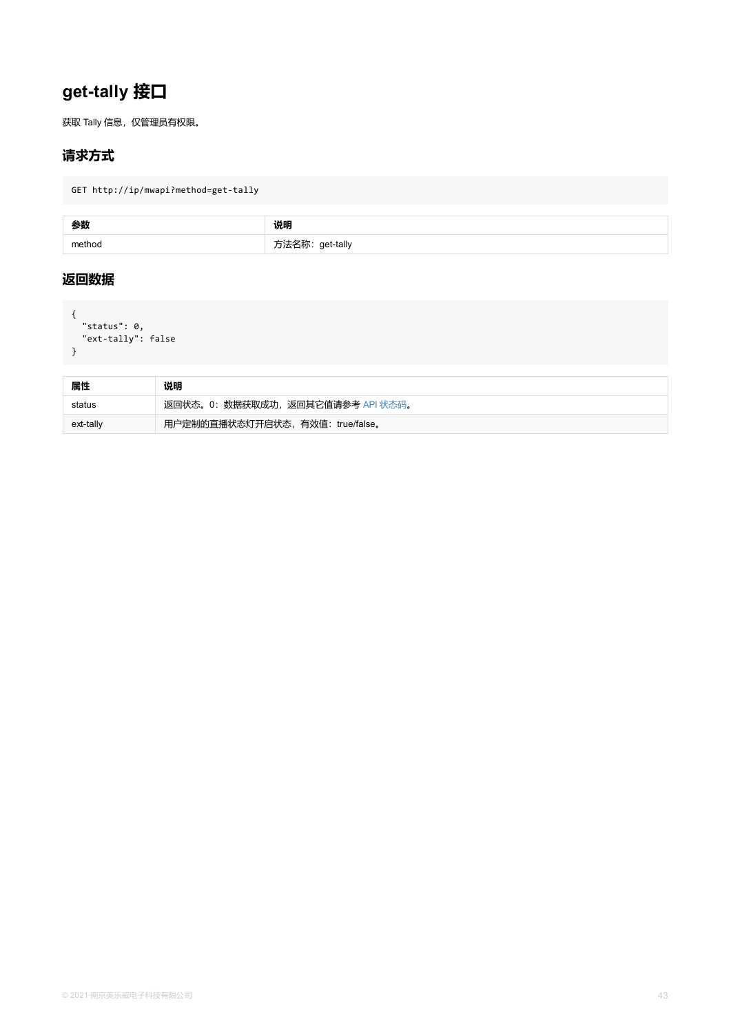<span id="page-42-0"></span>

| 属性        | 说明                                |
|-----------|-----------------------------------|
| status    | 返回状态。0: 数据获取成功, 返回其它值请参考 API 状态码。 |
| ext-tally | 用户定制的直播状态灯开启状态, 有效值: true/false。  |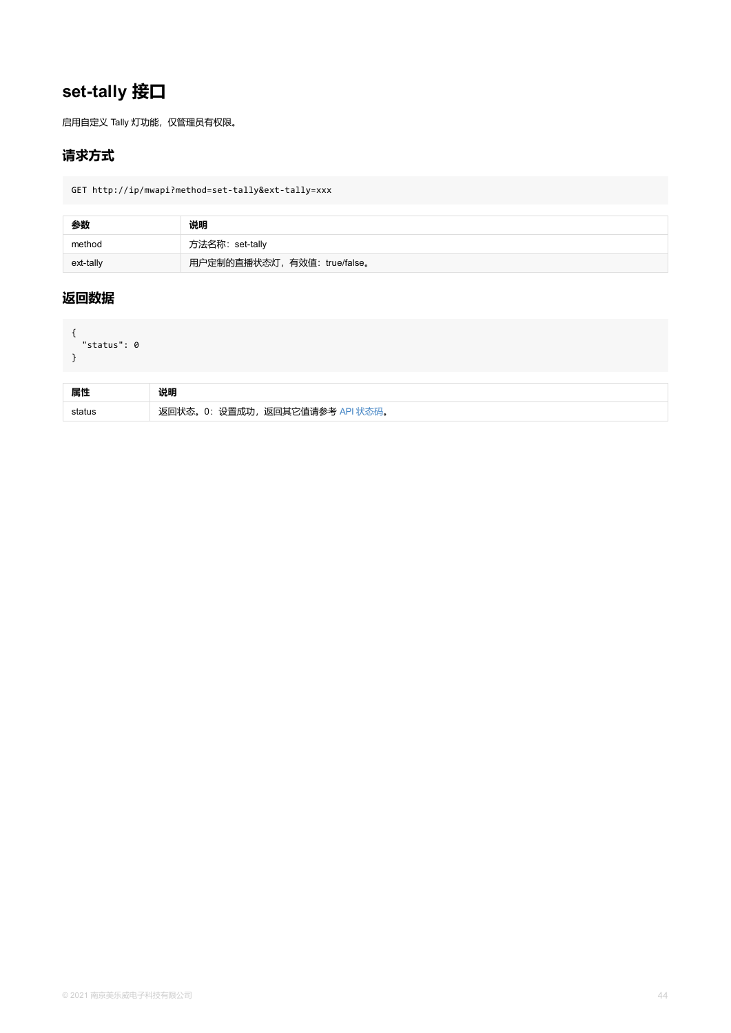```
status . U
}
```

| 属性     | 说明                              |
|--------|---------------------------------|
| status | 返回状态。0: 设置成功, 返回其它值请参考 API 状态码。 |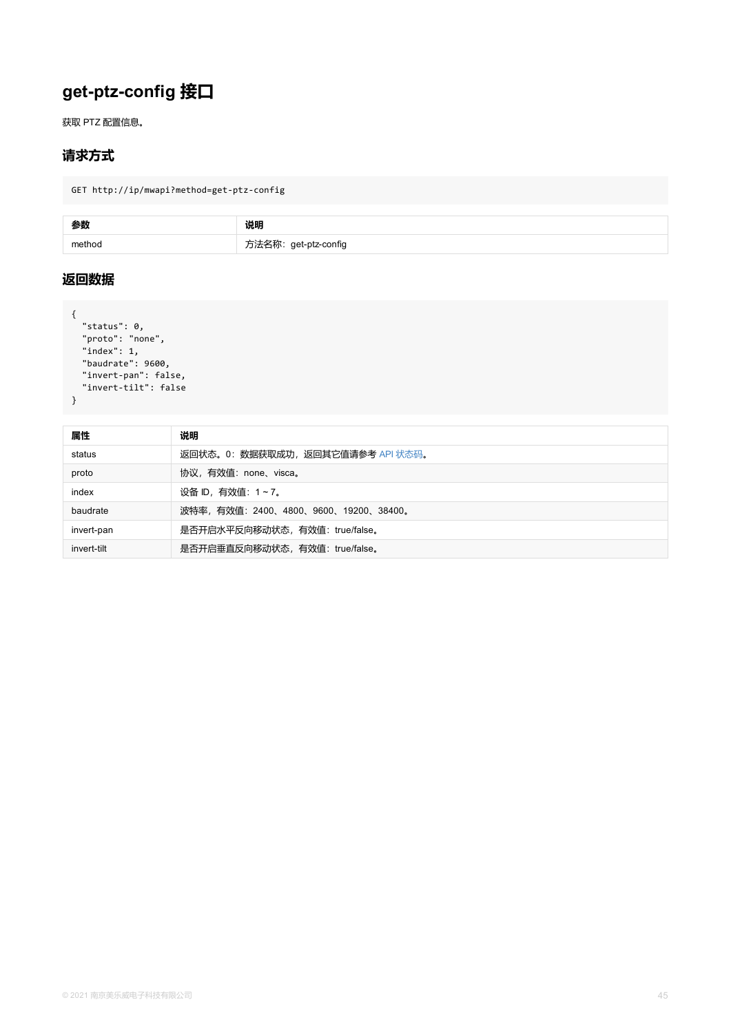```
"index": 1,
 "baudrate": 9600,
 "invert-pan": false,
 "invert-tilt": false
}
```

| 属性          | 说明                                  |
|-------------|-------------------------------------|
| status      | 返回状态。0:数据获取成功,返回其它值请参考 API 状态码。     |
| proto       | 协议,有效值:none、visca。                  |
| index       | 设备 ID,有效值: 1~7。                     |
| baudrate    | 波特率,有效值:2400、4800、9600、19200、38400。 |
| invert-pan  | 是否开启水平反向移动状态,有效值: true/false。       |
| invert-tilt | 是否开启垂直反向移动状态,有效值: true/false。       |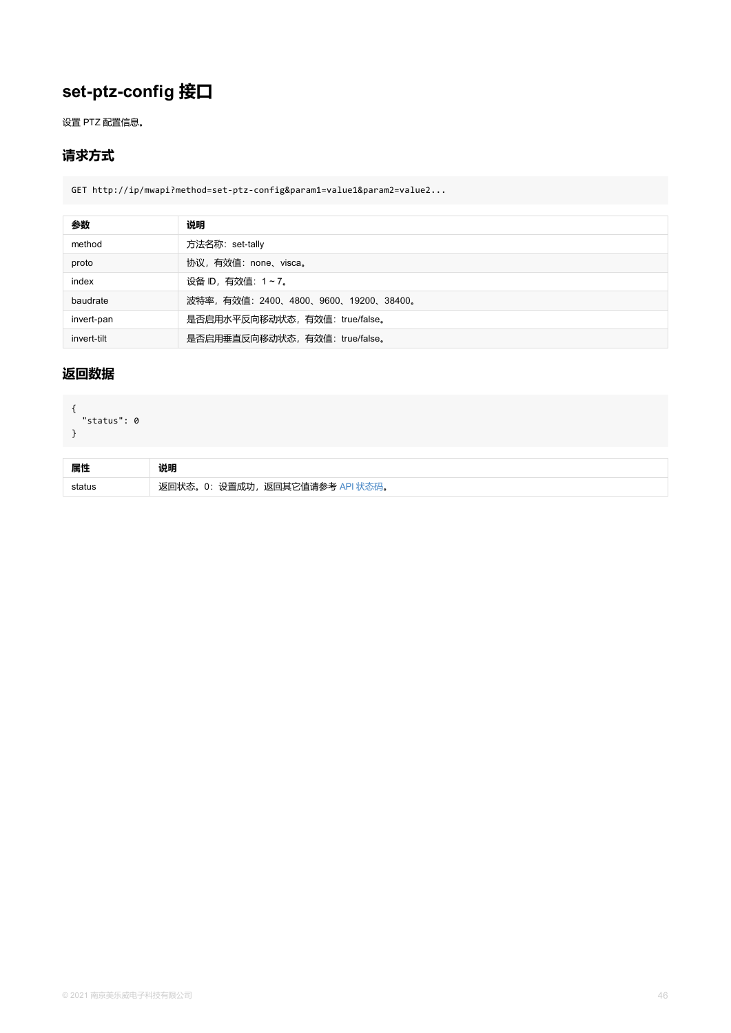## <span id="page-45-0"></span>**返回数据**

```
{
  "status": 0
}
```

| 属性 |                                 |
|----|---------------------------------|
|    | 返回状态。0: 设置成功, 返回其它值请参考 API 状态码。 |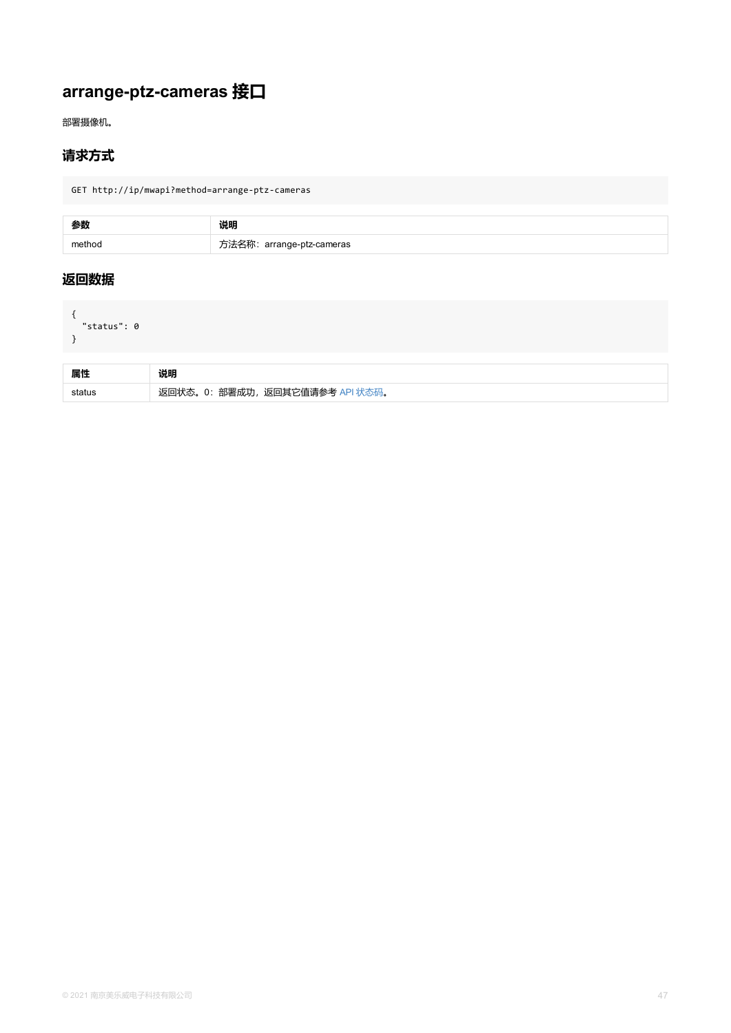<span id="page-46-0"></span>

| 属性 | 说明                              |
|----|---------------------------------|
|    | 返回状态。0: 部署成功, 返回其它值请参考 API 状态码。 |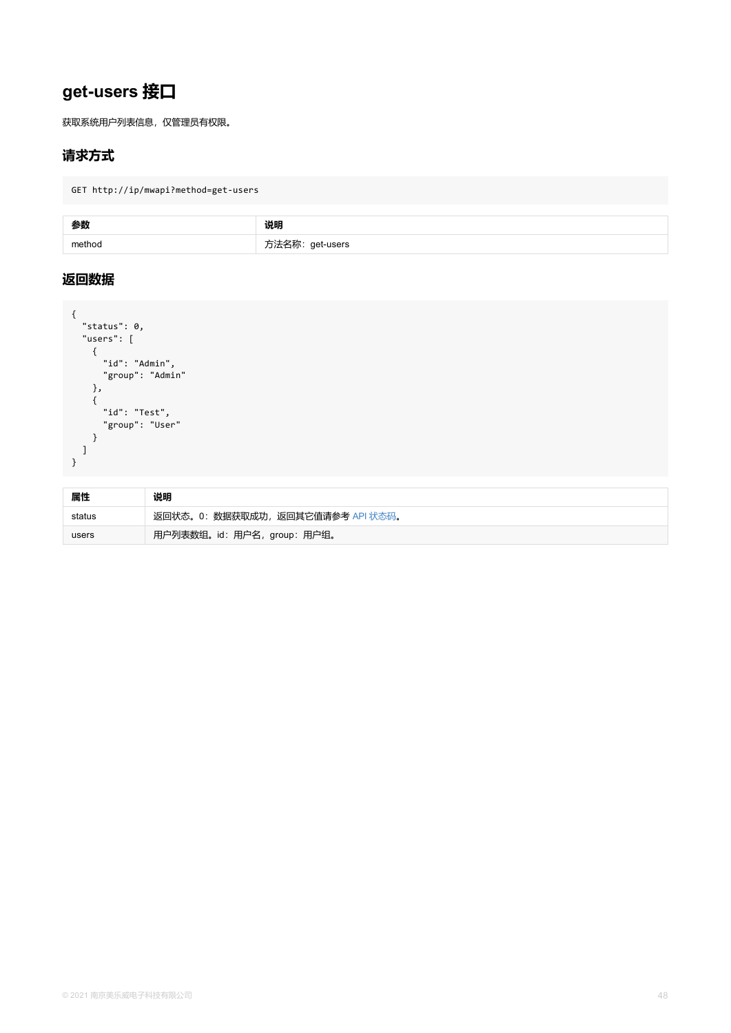```
{
     "id": "Admin",
    "group": "Admin"
   },
   {
    "id": "Test",
    "group": "User"
  }
 ]
}
```

| 属性     | 说明                                |
|--------|-----------------------------------|
| status | 返回状态。0: 数据获取成功, 返回其它值请参考 API 状态码。 |
| users  | 用户列表数组。id: 用户名, group: 用户组。       |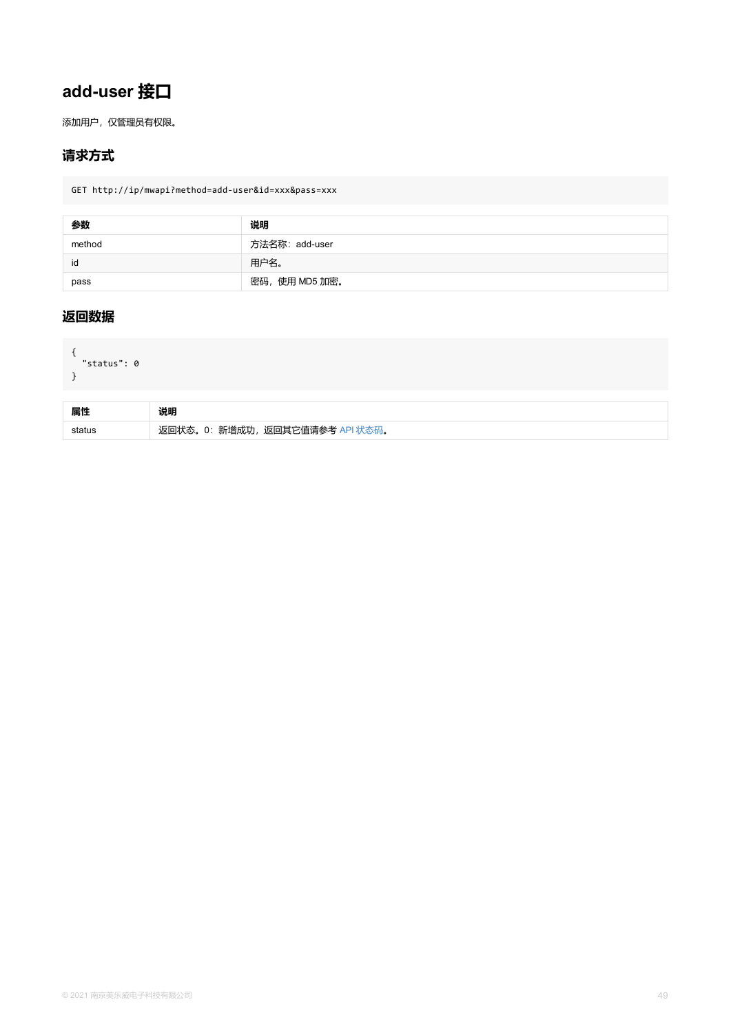```
{
"status": 0
}
```

| 属性     | 说明                              |
|--------|---------------------------------|
| status | 返回状态。0: 新增成功, 返回其它值请参考 API 状态码。 |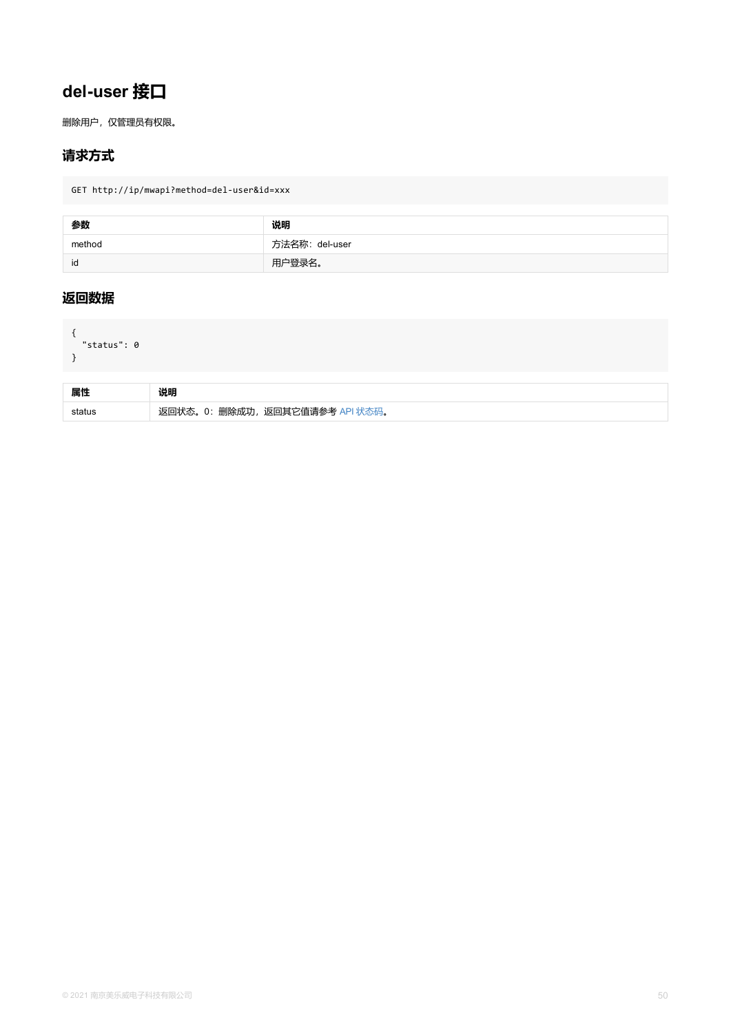```
status . U
}
```

| 属性     | 说明                              |
|--------|---------------------------------|
| status | 删除成功,<br>返回其它值请参考<br>0:<br>"状态。 |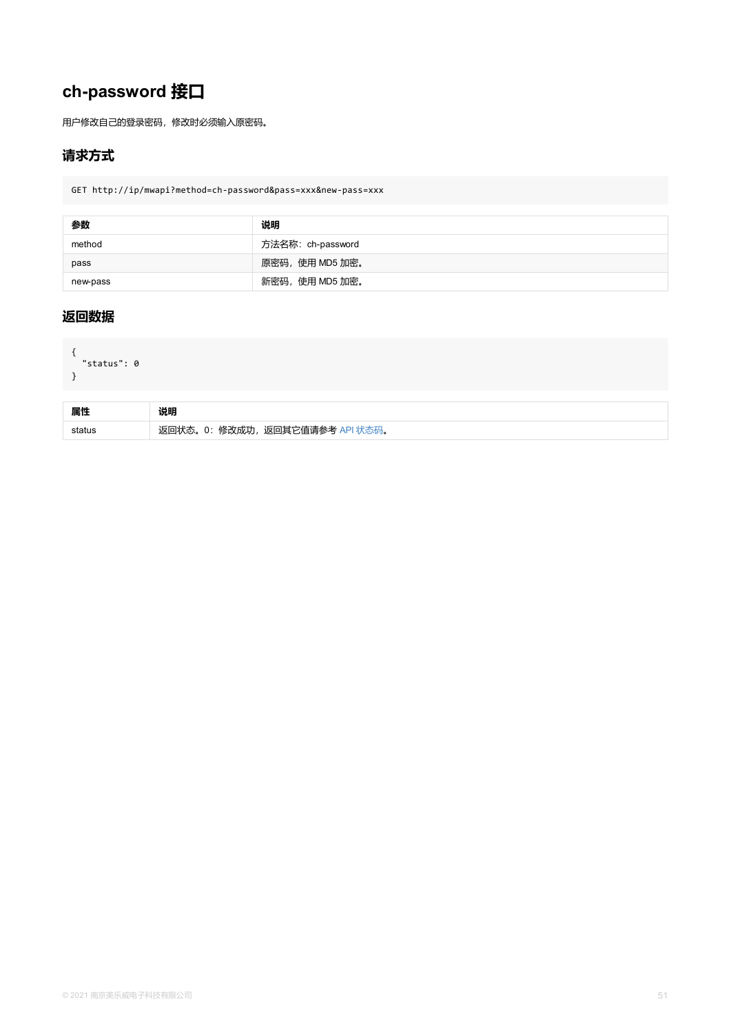```
{
"status": 0
}
```

| 属性     | 说明                              |
|--------|---------------------------------|
| status | 返回状态。0: 修改成功, 返回其它值请参考 API 状态码。 |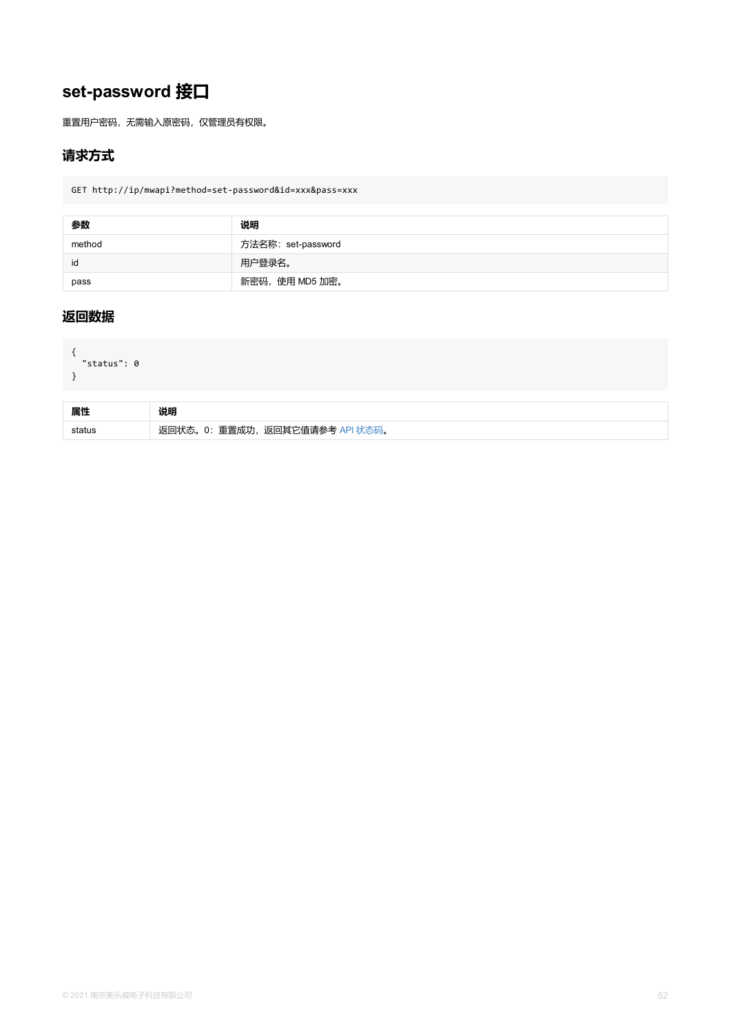```
{
"status": 0
}
```

| 属性     | 说明                              |
|--------|---------------------------------|
| status | 返回状态。0: 重置成功, 返回其它值请参考 API 状态码。 |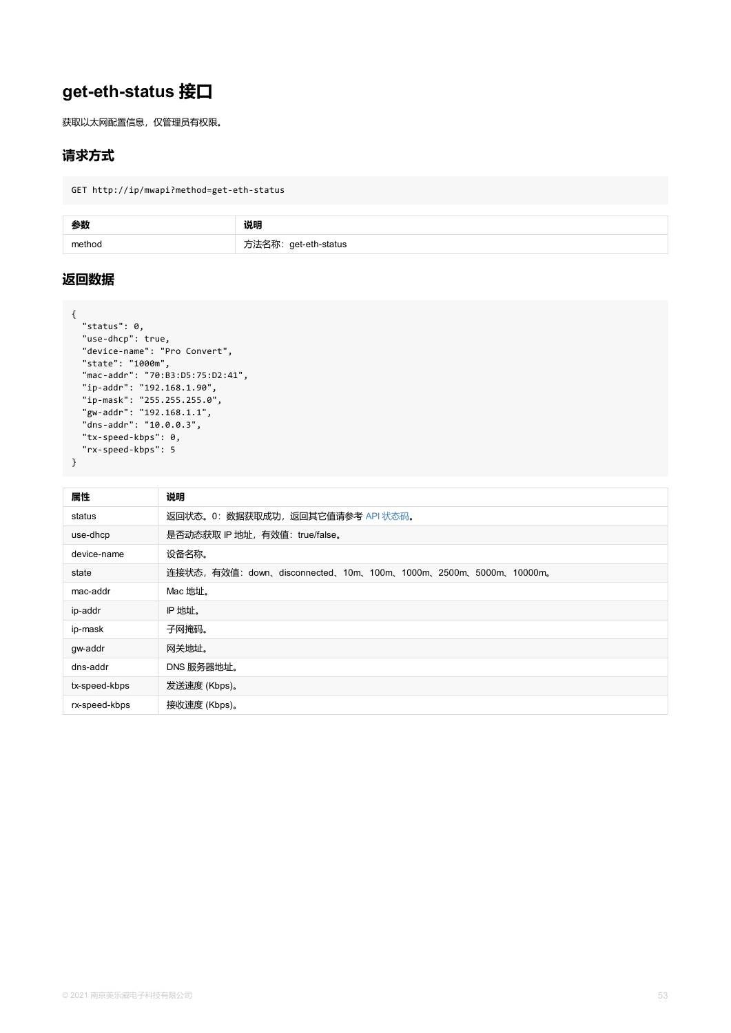```
"device-name": "Pro Convert",
  "state": "1000m",
  "mac-addr": "70:B3:D5:75:D2:41",
  "ip-addr": "192.168.1.90",
  "ip-mask": "255.255.255.0",
  "gw-addr": "192.168.1.1",
  "dns-addr": "10.0.0.3",
  "tx-speed-kbps": 0,
  "rx-speed-kbps": 5
}
```

| 属性            | 说明                                                           |
|---------------|--------------------------------------------------------------|
| status        | 返回状态。0: 数据获取成功, 返回其它值请参考 API 状态码。                            |
| use-dhcp      | 是否动态获取 IP 地址, 有效值: true/false。                               |
| device-name   | 设备名称。                                                        |
| state         | 连接状态, 有效值: down、disconnected、10m、100m、1000m、2500m、5000m、1000 |
| mac-addr      | Mac 地址。                                                      |
| ip-addr       | IP 地址。                                                       |
| ip-mask       | 子网掩码。                                                        |
| gw-addr       | 网关地址。                                                        |
| dns-addr      | DNS 服务器地址。                                                   |
| tx-speed-kbps | 发送速度 (Kbps)。                                                 |
| rx-speed-kbps | 接收速度 (Kbps)。                                                 |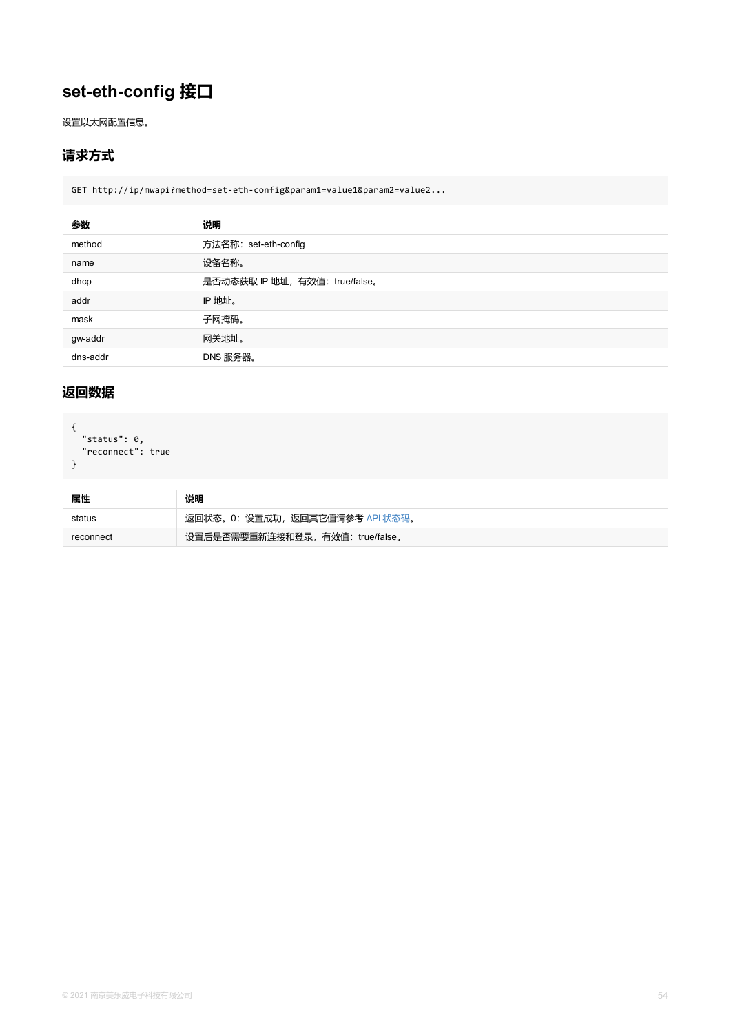dns-addr DNS 服务器。

## **返回数据**

```
{
 "status": 0,
"reconnect": true
}
```

| 属性        | 说明                               |
|-----------|----------------------------------|
| status    | 返回状态。0:设置成功,返回其它值请参考 API 状态码。    |
| reconnect | 设置后是否需要重新连接和登录, 有效值: true/false。 |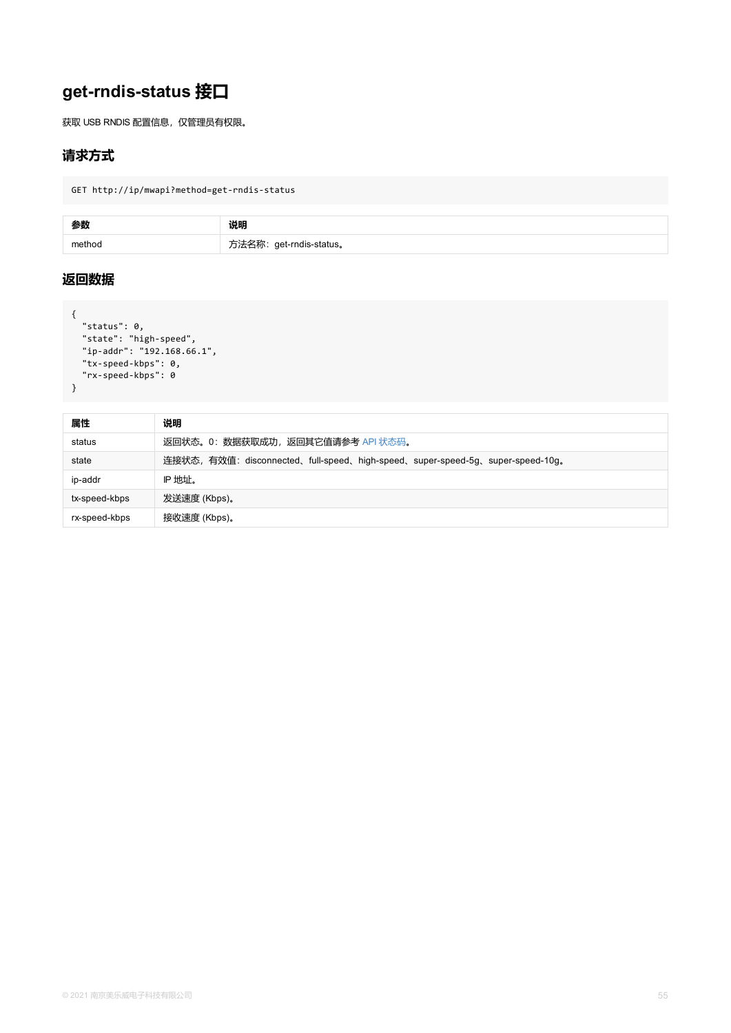```
"ip-addr": "192.168.66.1",
 "tx-speed-kbps": 0,
 "rx-speed-kbps": 0
}
```

| 属性            | 说明                                                                     |
|---------------|------------------------------------------------------------------------|
| status        | 返回状态。0: 数据获取成功, 返回其它值请参考 API 状态码。                                      |
| state         | 连接状态, 有效值: disconnected、full-speed、high-speed、super-speed-5g、super-spe |
| ip-addr       | IP 地址。                                                                 |
| tx-speed-kbps | 发送速度 (Kbps)。                                                           |
| rx-speed-kbps | 接收速度 (Kbps)。                                                           |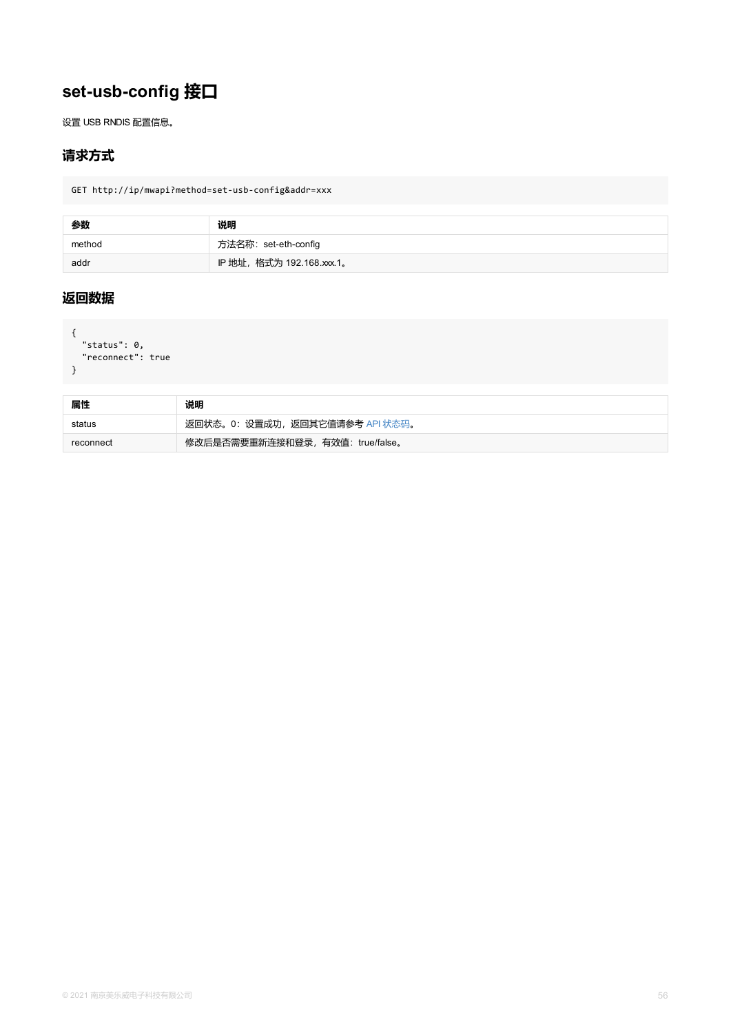```
status . v,
 "reconnect": true
}
```

| 属性        | 说明                               |
|-----------|----------------------------------|
| status    | 返回状态。0: 设置成功, 返回其它值请参考 API 状态码。  |
| reconnect | 修改后是否需要重新连接和登录, 有效值: true/false。 |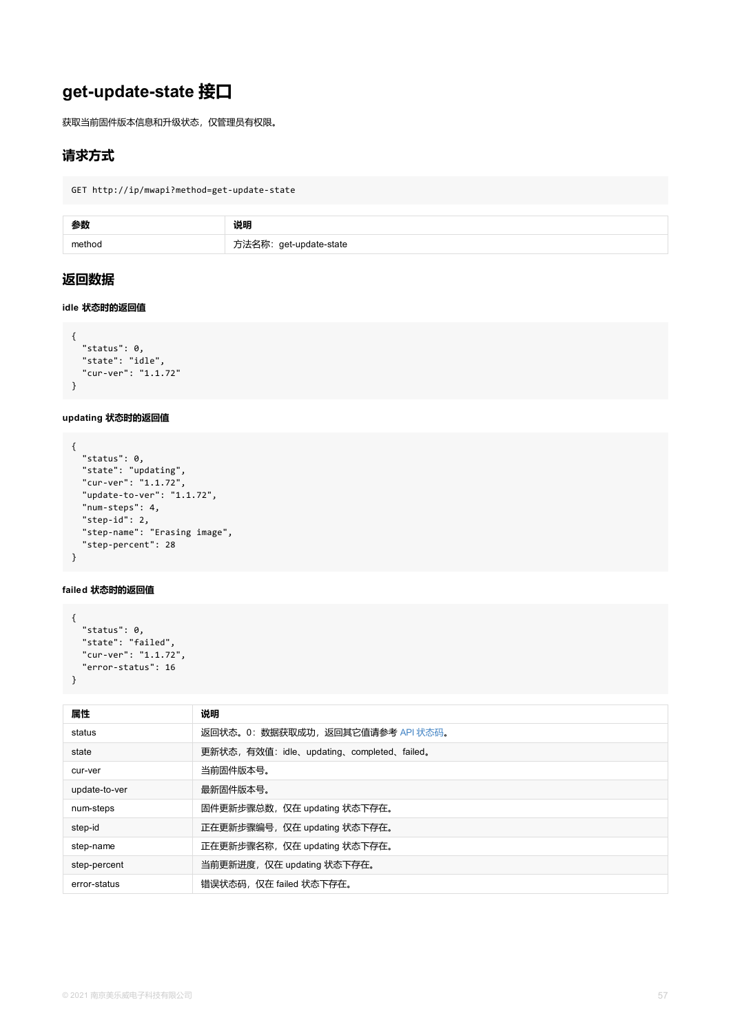```
"status": 0,
  "state": "idle",
  "cur-ver": "1.1.72"
}
```
#### **updating 状态时的返回值**

```
{
  "status": 0,
  "state": "updating",
  "cur-ver": "1.1.72",
  "update-to-ver": "1.1.72",
  "num-steps": 4,
  "step-id": 2,
  "step-name": "Erasing image",
  "step-percent": 28
}
```
#### **failed 状态时的返回值**

```
{
 "status": 0,
 "state": "failed",
 "cur-ver": "1.1.72",
 "error-status": 16
}
```

| 属性            | 说明                                         |
|---------------|--------------------------------------------|
| status        | 返回状态。0: 数据获取成功, 返回其它值请参考 API 状态码。          |
| state         | 更新状态, 有效值: idle、updating、completed、failed。 |
| cur-ver       | 当前固件版本号。                                   |
| update-to-ver | 最新固件版本号。                                   |
| num-steps     | 固件更新步骤总数,仅在 updating 状态下存在。                |
| step-id       | 正在更新步骤编号, 仅在 updating 状态下存在。               |
| step-name     | 正在更新步骤名称, 仅在 updating 状态下存在。               |
| step-percent  | 当前更新进度,仅在 updating 状态下存在。                  |
| error-status  | 错误状态码, 仅在 failed 状态下存在。                    |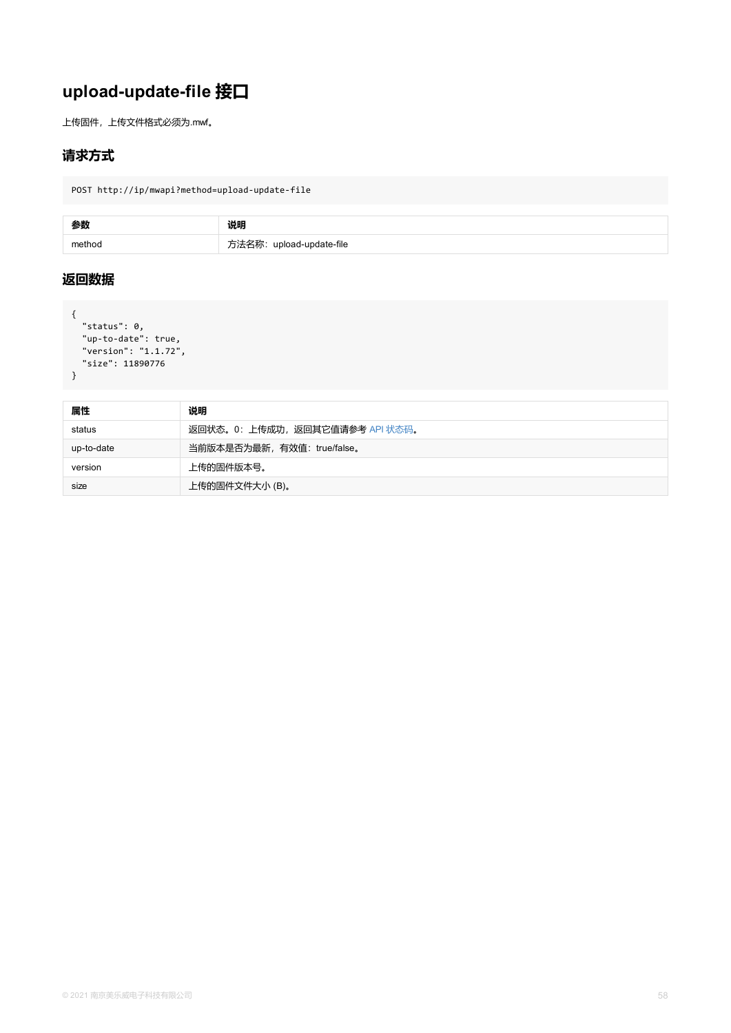```
"version": "1.1.72",
"size": 11890776
}
```

| 属性         | 说明                              |
|------------|---------------------------------|
| status     | 返回状态。0: 上传成功, 返回其它值请参考 API 状态码。 |
| up-to-date | 当前版本是否为最新, 有效值: true/false。     |
| version    | 上传的固件版本号。                       |
| size       | 上传的固件文件大小(B)。                   |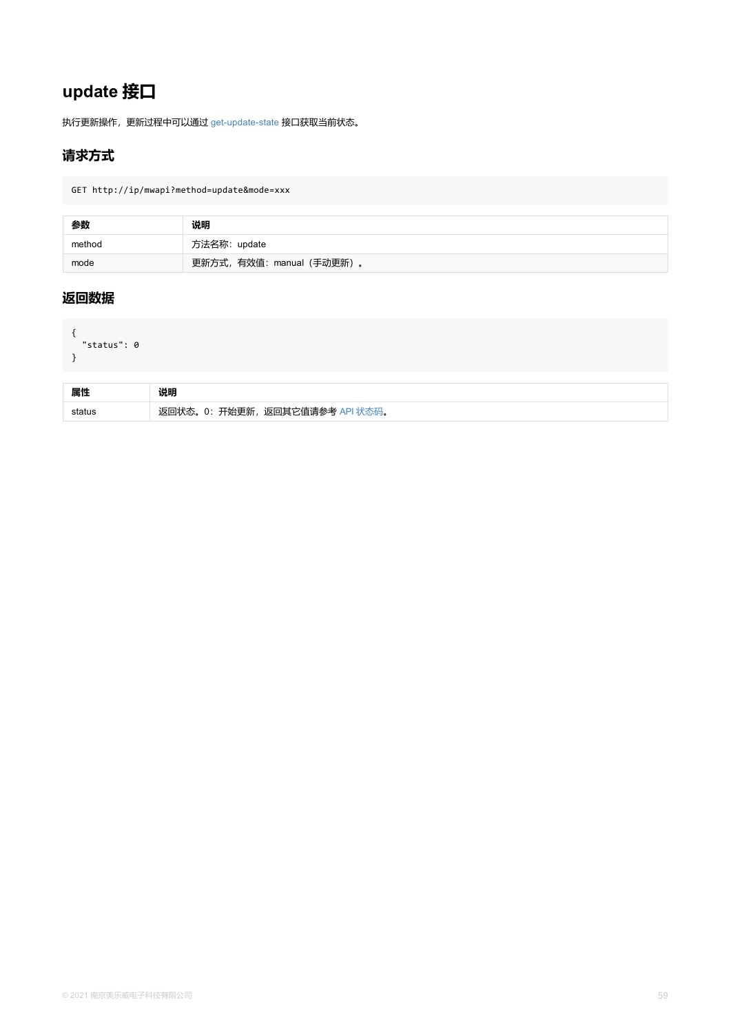```
status . U
}
```

| 属性     | 说明                                          |
|--------|---------------------------------------------|
| status | 开始更新<br>返回其它值请参考<br>$\mathbf{U}$ .<br>متشائ |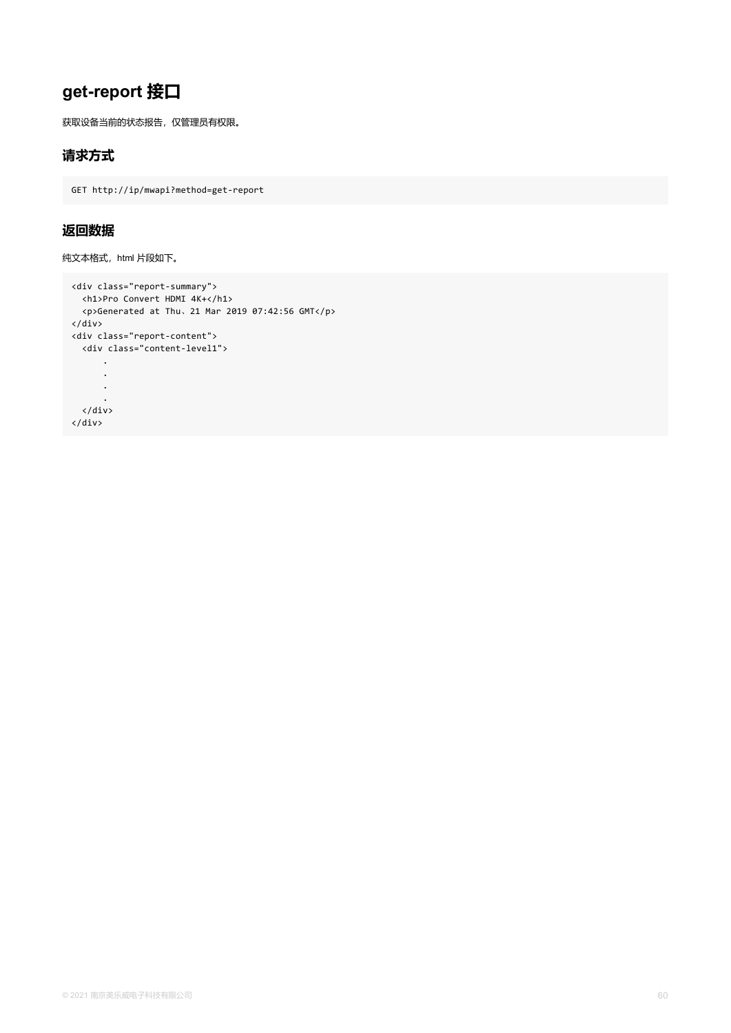# **get-report 接口**

获取设备当前的状态报告,仅管理员有权限。

### **请求方式**

GET http://ip/mwapi?method=get-report

### **返回数据**

纯文本格式, html 片段如下。

```
<div class="report-summary">
 <h1>Pro Convert HDMI 4K+</h1>
 <p>Generated at Thu、21 Mar 2019 07:42:56 GMT</p>
</div>
<div class="report-content">
 <div class="content-level1">
      .
      .
      .
      .
 </div>
</div>
```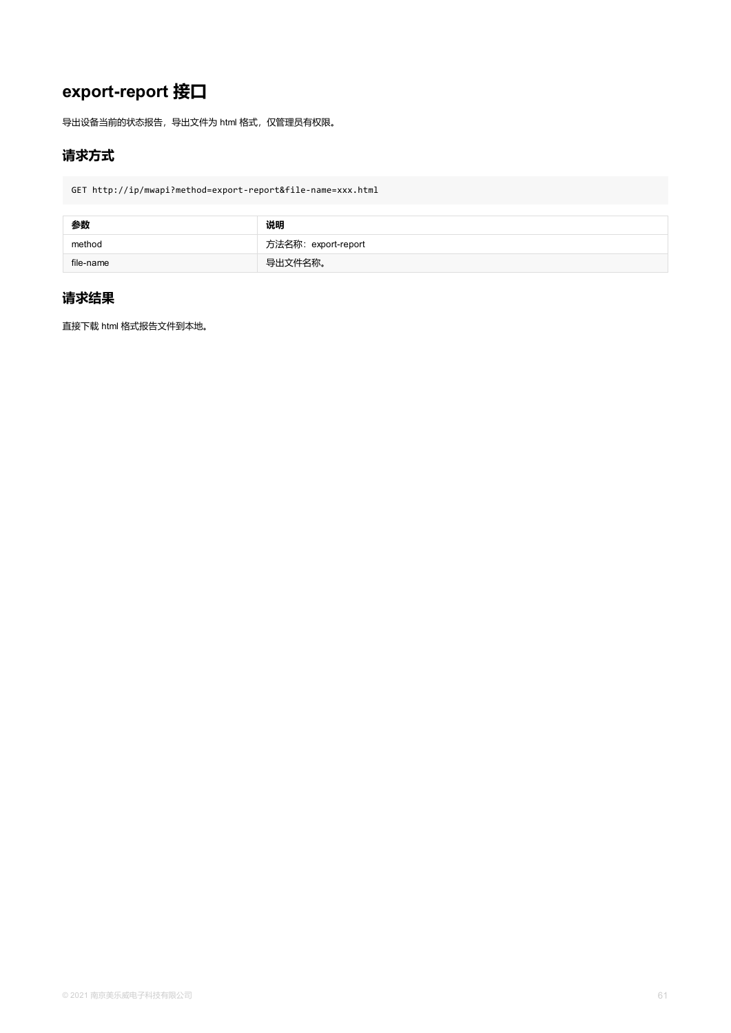# **export-report 接口**

导出设备当前的状态报告,导出文件为 html 格式,仅管理员有权限。

## **请求方式**

GET http://ip/mwapi?method=export-report&file-name=xxx.html

| 参数        | 说明                  |
|-----------|---------------------|
| method    | 方法名称: export-report |
| file-name | 导出文件名称。             |

## **请求结果**

直接下载 html 格式报告文件到本地。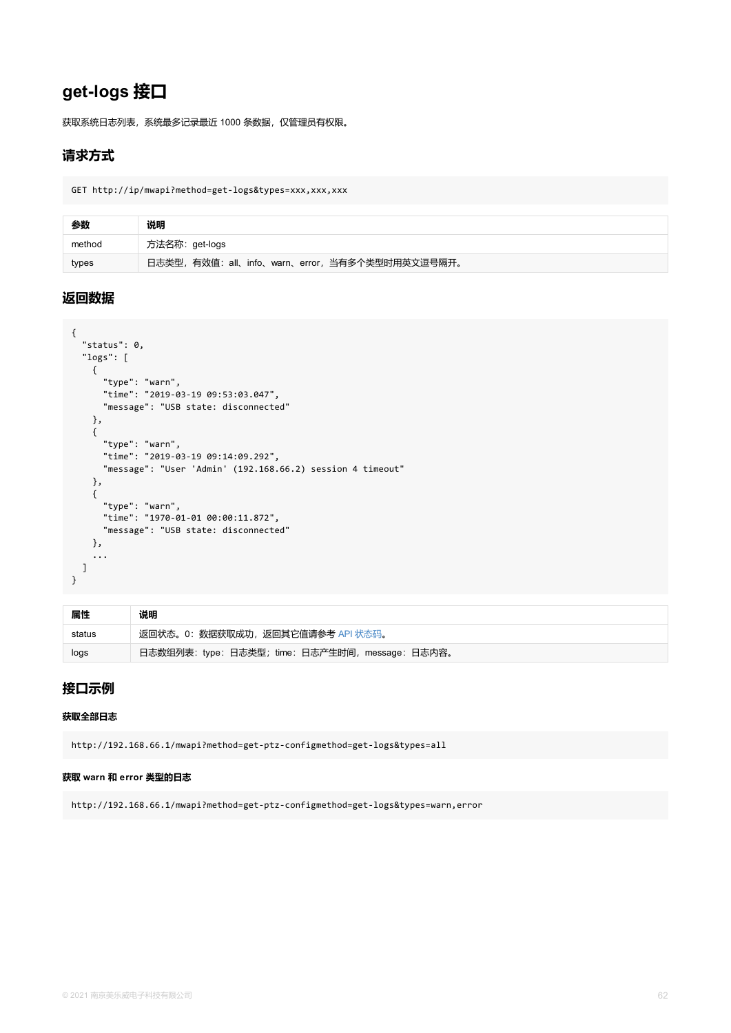```
status . v<sub>j</sub>
  "logs": [
    {
      "type": "warn",
      "time": "2019-03-19 09:53:03.047",
      "message": "USB state: disconnected"
    },
    {
      "type": "warn",
      "time": "2019-03-19 09:14:09.292",
      "message": "User 'Admin' (192.168.66.2) session 4 timeout"
    },
    {
      "type": "warn",
      "time": "1970-01-01 00:00:11.872",
      "message": "USB state: disconnected"
    },
    ...
  ]
}
```

| 属性     | 说明                                               |
|--------|--------------------------------------------------|
| status | 返回状态。0: 数据获取成功, 返回其它值请参考 API 状态码。                |
| logs   | 日志数组列表: type: 日志类型; time: 日志产生时间, message: 日志内容。 |

### **接口示例**

#### **获取全部日志**

http://192.168.66.1/mwapi?method=get-ptz-configmethod=get-logs&types=all

#### **获取 warn 和 error 类型的日志**

http://192.168.66.1/mwapi?method=get-ptz-configmethod=get-logs&types=warn,error